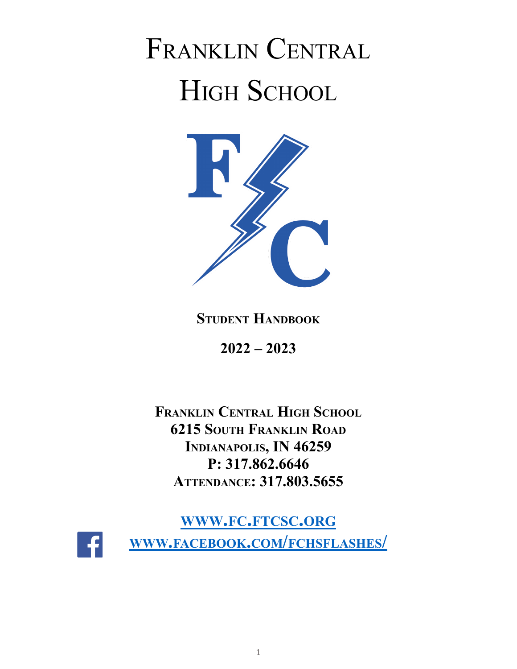# FRANKLIN CENTRAL HIGH SCHOOL



**STUDENT HANDBOOK**

**2022 – 2023**

**FRANKLIN CENTRAL HIGH SCHOOL 6215 SOUTH FRANKLIN ROAD INDIANAPOLIS, IN 46259 P: 317.862.6646 ATTENDANCE: 317.803.5655**

**WWW.FC.[FTCSC](http://www.fc.ftcsc.org).ORG WWW.FACEBOOK.COM/[FCHSFLASHES](http://www.facebook.com/fchsflashes/)/**

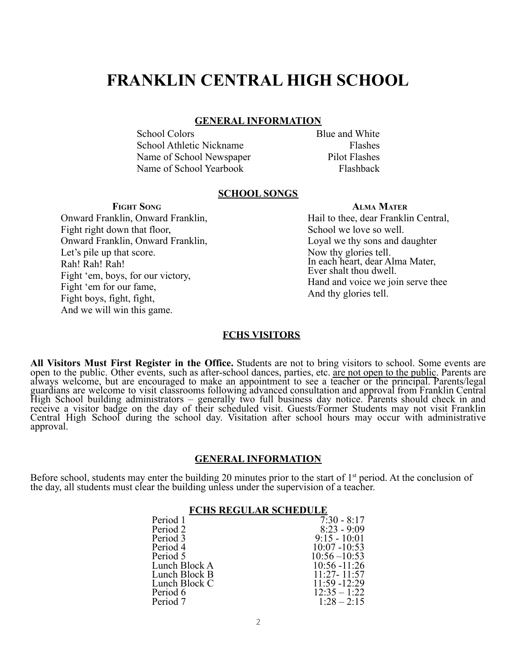# **FRANKLIN CENTRAL HIGH SCHOOL**

#### **GENERAL INFORMATION**

School Colors Blue and White School Athletic Nickname Flashes Name of School Newspaper Pilot Flashes Name of School Yearbook Flashback

#### **SCHOOL SONGS**

**FIGHT SONG**

Onward Franklin, Onward Franklin, Fight right down that floor, Onward Franklin, Onward Franklin, Let's pile up that score. Rah! Rah! Rah! Fight 'em, boys, for our victory, Fight 'em for our fame, Fight boys, fight, fight, And we will win this game.

# **ALMA MATER**

Hail to thee, dear Franklin Central, School we love so well. Loyal we thy sons and daughter Now thy glories tell. In each heart, dear Alma Mater, Ever shalt thou dwell. Hand and voice we join serve thee And thy glories tell.

#### **FCHS VISITORS**

**All Visitors Must First Register in the Office.** Students are not to bring visitors to school. Some events are open to the public. Other events, such as after-school dances, parties, etc. are not open to the public. Parents are always welcome, but are encouraged to make an appointment to see a teacher or the principal. Parents/legal guardians are welcome to visit classrooms following advanced consultation and approval from Franklin Central High School building administrators – generally two full business day notice. Parents should check in and receive a visitor badge on the day of their scheduled visit. Guests/Former Students may not visit Franklin Central High School during the school day. Visitation after school hours may occur with administrative approval.

#### **GENERAL INFORMATION**

Before school, students may enter the building 20 minutes prior to the start of  $1<sup>st</sup>$  period. At the conclusion of the day, all students must clear the building unless under the supervision of a teacher.

#### **FCHS REGULAR SCHEDULE**

| $8:23 - 9:09$<br>$9:15 - 10:01$<br>$10:07 - 10:53$ |
|----------------------------------------------------|
|                                                    |
|                                                    |
|                                                    |
| $10:56 - 10:53$                                    |
| $10:56 - 11:26$                                    |
| $11.27 - 11.57$                                    |
| $11:59 - 12:29$                                    |
| $12:35 - 1:22$                                     |
| $1:28 - 2:15$                                      |
|                                                    |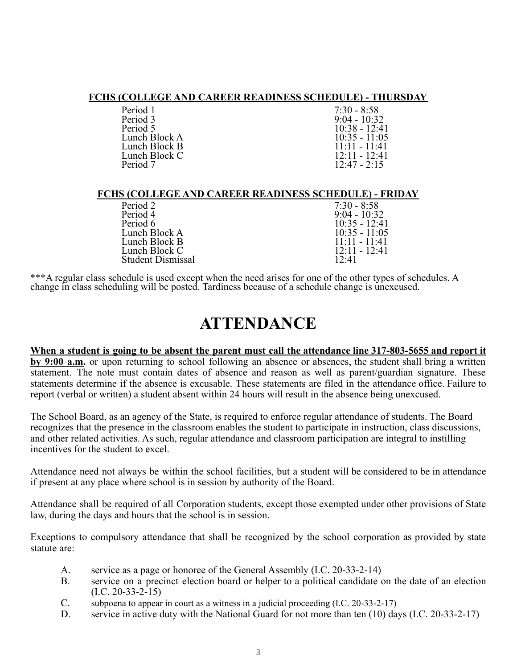#### **FCHS (COLLEGE AND CAREER READINESS SCHEDULE) - THURSDAY**

| Period 1      |
|---------------|
| Period 3      |
| Period 5      |
| Lunch Block A |
| Lunch Block B |
| Lunch Block C |
| Period 7      |
|               |

 $7:30 - 8:58$  $9:04 - 10:32$ 10:38 - 12:41  $10:35 - 11:05$  $11:11 - 11:41$  $12:11 - 12:41$  $12.47 - 2.15$ 

#### **FCHS (COLLEGE AND CAREER READINESS SCHEDULE) - FRIDAY**

| Period 2          | $7:30 - 8:58$               |
|-------------------|-----------------------------|
| Period 4          | $9:04 - 10:32$              |
| Period 6          | $10:35 - 12:41$             |
| Lunch Block A     | $10:35 - 11:05$             |
| Lunch Block B     | $11 \cdot 11 - 11 \cdot 41$ |
| Lunch Block C     | $12.11 - 12.41$             |
| Student Dismissal | 12:41                       |
|                   |                             |

\*\*\*A regular class schedule is used except when the need arises for one of the other types of schedules. A change in class scheduling will be posted. Tardiness because of a schedule change is unexcused.

# **ATTENDANCE**

# When a student is going to be absent the parent must call the attendance line 317-803-5655 and report it

**by 9:00 a.m.** or upon returning to school following an absence or absences, the student shall bring a written statement. The note must contain dates of absence and reason as well as parent/guardian signature. These statements determine if the absence is excusable. These statements are filed in the attendance office. Failure to report (verbal or written) a student absent within 24 hours will result in the absence being unexcused.

The School Board, as an agency of the State, is required to enforce regular attendance of students. The Board recognizes that the presence in the classroom enables the student to participate in instruction, class discussions, and other related activities. As such, regular attendance and classroom participation are integral to instilling incentives for the student to excel.

Attendance need not always be within the school facilities, but a student will be considered to be in attendance if present at any place where school is in session by authority of the Board.

Attendance shall be required of all Corporation students, except those exempted under other provisions of State law, during the days and hours that the school is in session.

Exceptions to compulsory attendance that shall be recognized by the school corporation as provided by state statute are:

- A. service as a page or honoree of the General Assembly (I.C. 20-33-2-14)
- B. service on a precinct election board or helper to a political candidate on the date of an election  $(I.C. 20-33-2-15)$
- C. subpoena to appear in court as a witness in a judicial proceeding (I.C. 20-33-2-17)
- D. service in active duty with the National Guard for not more than ten (10) days (I.C. 20-33-2-17)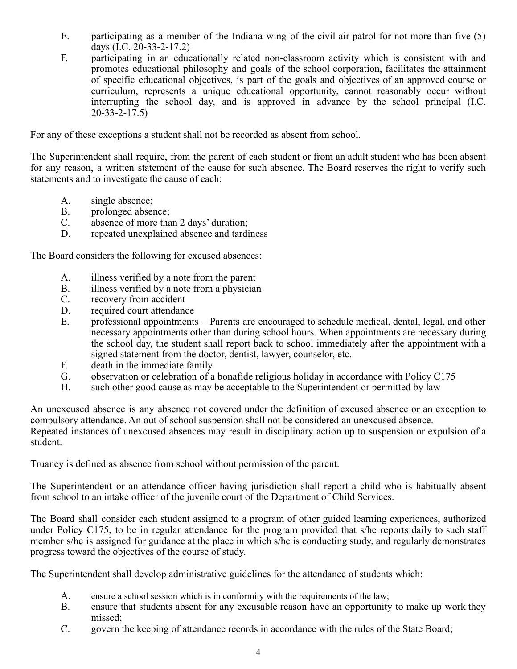- E. participating as a member of the Indiana wing of the civil air patrol for not more than five (5) days (I.C. 20-33-2-17.2)
- F. participating in an educationally related non-classroom activity which is consistent with and promotes educational philosophy and goals of the school corporation, facilitates the attainment of specific educational objectives, is part of the goals and objectives of an approved course or curriculum, represents a unique educational opportunity, cannot reasonably occur without interrupting the school day, and is approved in advance by the school principal (I.C.  $20 - 33 - 2 - 17.5$

For any of these exceptions a student shall not be recorded as absent from school.

The Superintendent shall require, from the parent of each student or from an adult student who has been absent for any reason, a written statement of the cause for such absence. The Board reserves the right to verify such statements and to investigate the cause of each:

- A. single absence;
- B. prolonged absence;
- C. absence of more than 2 days' duration;
- D. repeated unexplained absence and tardiness

The Board considers the following for excused absences:

- A. illness verified by a note from the parent
- B. illness verified by a note from a physician
- C. recovery from accident
- D. required court attendance
- E. professional appointments Parents are encouraged to schedule medical, dental, legal, and other necessary appointments other than during school hours. When appointments are necessary during the school day, the student shall report back to school immediately after the appointment with a signed statement from the doctor, dentist, lawyer, counselor, etc.
- F. death in the immediate family
- G. observation or celebration of a bonafide religious holiday in accordance with Policy C175<br>H. such other good cause as may be acceptable to the Superintendent or permitted by law
- such other good cause as may be acceptable to the Superintendent or permitted by law

An unexcused absence is any absence not covered under the definition of excused absence or an exception to compulsory attendance. An out of school suspension shall not be considered an unexcused absence. Repeated instances of unexcused absences may result in disciplinary action up to suspension or expulsion of a student.

Truancy is defined as absence from school without permission of the parent.

The Superintendent or an attendance officer having jurisdiction shall report a child who is habitually absent from school to an intake officer of the juvenile court of the Department of Child Services.

The Board shall consider each student assigned to a program of other guided learning experiences, authorized under Policy C175, to be in regular attendance for the program provided that s/he reports daily to such staff member s/he is assigned for guidance at the place in which s/he is conducting study, and regularly demonstrates progress toward the objectives of the course of study.

The Superintendent shall develop administrative guidelines for the attendance of students which:

- A. ensure a school session which is in conformity with the requirements of the law;
- B. ensure that students absent for any excusable reason have an opportunity to make up work they missed;
- C. govern the keeping of attendance records in accordance with the rules of the State Board;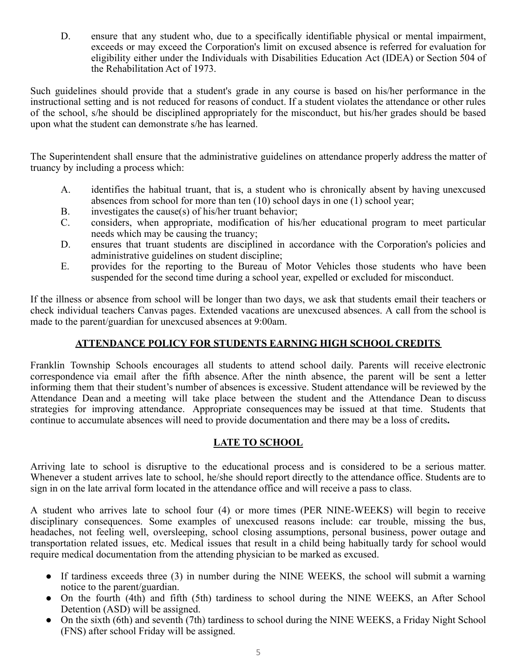D. ensure that any student who, due to a specifically identifiable physical or mental impairment, exceeds or may exceed the Corporation's limit on excused absence is referred for evaluation for eligibility either under the Individuals with Disabilities Education Act (IDEA) or Section 504 of the Rehabilitation Act of 1973.

Such guidelines should provide that a student's grade in any course is based on his/her performance in the instructional setting and is not reduced for reasons of conduct. If a student violates the attendance or other rules of the school, s/he should be disciplined appropriately for the misconduct, but his/her grades should be based upon what the student can demonstrate s/he has learned.

The Superintendent shall ensure that the administrative guidelines on attendance properly address the matter of truancy by including a process which:

- A. identifies the habitual truant, that is, a student who is chronically absent by having unexcused absences from school for more than ten (10) school days in one (1) school year;
- B. investigates the cause(s) of his/her truant behavior;
- C. considers, when appropriate, modification of his/her educational program to meet particular needs which may be causing the truancy;
- D. ensures that truant students are disciplined in accordance with the Corporation's policies and administrative guidelines on student discipline;
- E. provides for the reporting to the Bureau of Motor Vehicles those students who have been suspended for the second time during a school year, expelled or excluded for misconduct.

If the illness or absence from school will be longer than two days, we ask that students email their teachers or check individual teachers Canvas pages. Extended vacations are unexcused absences. A call from the school is made to the parent/guardian for unexcused absences at 9:00am.

# **ATTENDANCE POLICY FOR STUDENTS EARNING HIGH SCHOOL CREDITS**

Franklin Township Schools encourages all students to attend school daily. Parents will receive electronic correspondence via email after the fifth absence. After the ninth absence, the parent will be sent a letter informing them that their student's number of absences is excessive. Student attendance will be reviewed by the Attendance Dean and a meeting will take place between the student and the Attendance Dean to discuss strategies for improving attendance. Appropriate consequences may be issued at that time. Students that continue to accumulate absences will need to provide documentation and there may be a loss of credits**.**

# **LATE TO SCHOOL**

Arriving late to school is disruptive to the educational process and is considered to be a serious matter. Whenever a student arrives late to school, he/she should report directly to the attendance office. Students are to sign in on the late arrival form located in the attendance office and will receive a pass to class.

A student who arrives late to school four (4) or more times (PER NINE-WEEKS) will begin to receive disciplinary consequences. Some examples of unexcused reasons include: car trouble, missing the bus, headaches, not feeling well, oversleeping, school closing assumptions, personal business, power outage and transportation related issues, etc. Medical issues that result in a child being habitually tardy for school would require medical documentation from the attending physician to be marked as excused.

- If tardiness exceeds three (3) in number during the NINE WEEKS, the school will submit a warning notice to the parent/guardian.
- On the fourth (4th) and fifth (5th) tardiness to school during the NINE WEEKS, an After School Detention (ASD) will be assigned.
- On the sixth (6th) and seventh (7th) tardiness to school during the NINE WEEKS, a Friday Night School (FNS) after school Friday will be assigned.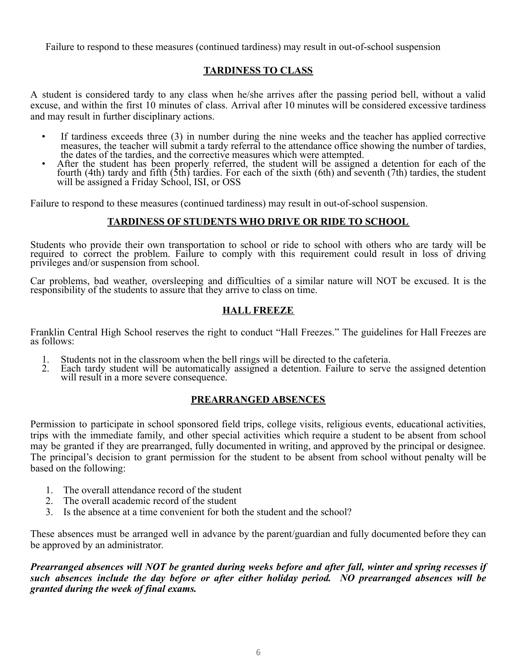Failure to respond to these measures (continued tardiness) may result in out-of-school suspension

# **TARDINESS TO CLASS**

A student is considered tardy to any class when he/she arrives after the passing period bell, without a valid excuse, and within the first 10 minutes of class. Arrival after 10 minutes will be considered excessive tardiness and may result in further disciplinary actions.

- If tardiness exceeds three (3) in number during the nine weeks and the teacher has applied corrective measures, the teacher will submit a tardy referral to the attendance office showing the number of tardies, the dates of the tardies, and the corrective measures which were attempted.
- After the student has been properly referred, the student will be assigned a detention for each of the fourth (4th) tardy and fifth (5th) tardies. For each of the sixth (6th) and seventh (7th) tardies, the student will be assigned a Friday School, ISI, or OSS

Failure to respond to these measures (continued tardiness) may result in out-of-school suspension.

#### **TARDINESS OF STUDENTS WHO DRIVE OR RIDE TO SCHOOL**

Students who provide their own transportation to school or ride to school with others who are tardy will be required to correct the problem. Failure to comply with this requirement could result in loss of driving privileges and/or suspension from school.

Car problems, bad weather, oversleeping and difficulties of a similar nature will NOT be excused. It is the responsibility of the students to assure that they arrive to class on time.

# **HALL FREEZE**

Franklin Central High School reserves the right to conduct "Hall Freezes." The guidelines for Hall Freezes are as follows:

- 1. Students not in the classroom when the bell rings will be directed to the cafeteria.<br>2. Each tardy student will be automatically assigned a detention. Failure to serve
- Each tardy student will be automatically assigned a detention. Failure to serve the assigned detention will result in a more severe consequence.

# **PREARRANGED ABSENCES**

Permission to participate in school sponsored field trips, college visits, religious events, educational activities, trips with the immediate family, and other special activities which require a student to be absent from school may be granted if they are prearranged, fully documented in writing, and approved by the principal or designee. The principal's decision to grant permission for the student to be absent from school without penalty will be based on the following:

- 1. The overall attendance record of the student
- 2. The overall academic record of the student
- 3. Is the absence at a time convenient for both the student and the school?

These absences must be arranged well in advance by the parent/guardian and fully documented before they can be approved by an administrator.

Prearranged absences will NOT be granted during weeks before and after fall, winter and spring recesses if *such absences include the day before or after either holiday period. NO prearranged absences will be granted during the week of final exams.*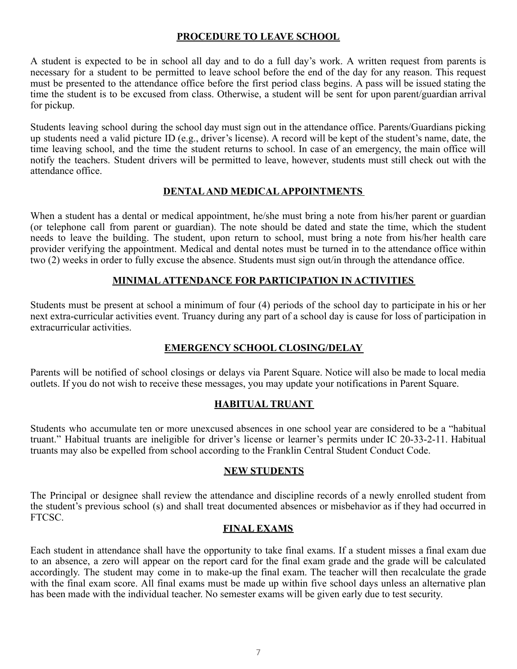# **PROCEDURE TO LEAVE SCHOOL**

A student is expected to be in school all day and to do a full day's work. A written request from parents is necessary for a student to be permitted to leave school before the end of the day for any reason. This request must be presented to the attendance office before the first period class begins. A pass will be issued stating the time the student is to be excused from class. Otherwise, a student will be sent for upon parent/guardian arrival for pickup.

Students leaving school during the school day must sign out in the attendance office. Parents/Guardians picking up students need a valid picture ID (e.g., driver's license). A record will be kept of the student's name, date, the time leaving school, and the time the student returns to school. In case of an emergency, the main office will notify the teachers. Student drivers will be permitted to leave, however, students must still check out with the attendance office.

# **DENTALAND MEDICALAPPOINTMENTS**

When a student has a dental or medical appointment, he/she must bring a note from his/her parent or guardian (or telephone call from parent or guardian). The note should be dated and state the time, which the student needs to leave the building. The student, upon return to school, must bring a note from his/her health care provider verifying the appointment. Medical and dental notes must be turned in to the attendance office within two (2) weeks in order to fully excuse the absence. Students must sign out/in through the attendance office.

# **MINIMALATTENDANCE FOR PARTICIPATION IN ACTIVITIES**

Students must be present at school a minimum of four (4) periods of the school day to participate in his or her next extra-curricular activities event. Truancy during any part of a school day is cause for loss of participation in extracurricular activities.

# **EMERGENCY SCHOOL CLOSING/DELAY**

Parents will be notified of school closings or delays via Parent Square. Notice will also be made to local media outlets. If you do not wish to receive these messages, you may update your notifications in Parent Square.

# **HABITUAL TRUANT**

Students who accumulate ten or more unexcused absences in one school year are considered to be a "habitual truant." Habitual truants are ineligible for driver's license or learner's permits under IC 20-33-2-11. Habitual truants may also be expelled from school according to the Franklin Central Student Conduct Code.

# **NEW STUDENTS**

The Principal or designee shall review the attendance and discipline records of a newly enrolled student from the student's previous school (s) and shall treat documented absences or misbehavior as if they had occurred in FTCSC.

#### **FINAL EXAMS**

Each student in attendance shall have the opportunity to take final exams. If a student misses a final exam due to an absence, a zero will appear on the report card for the final exam grade and the grade will be calculated accordingly. The student may come in to make-up the final exam. The teacher will then recalculate the grade with the final exam score. All final exams must be made up within five school days unless an alternative plan has been made with the individual teacher. No semester exams will be given early due to test security.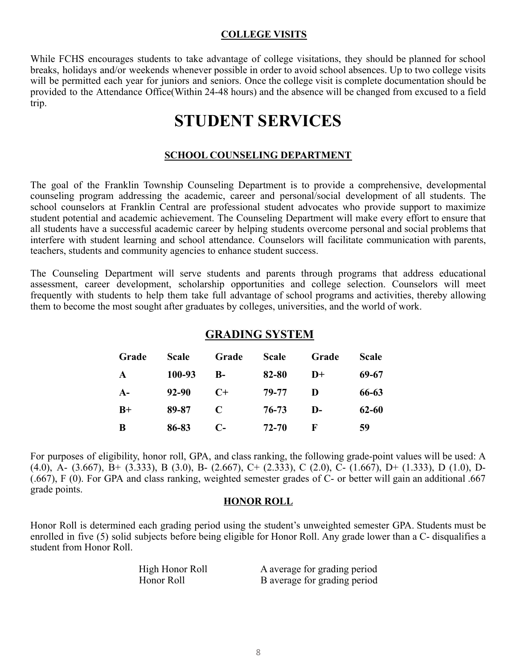#### **COLLEGE VISITS**

While FCHS encourages students to take advantage of college visitations, they should be planned for school breaks, holidays and/or weekends whenever possible in order to avoid school absences. Up to two college visits will be permitted each year for juniors and seniors. Once the college visit is complete documentation should be provided to the Attendance Office(Within 24-48 hours) and the absence will be changed from excused to a field trip.

# **STUDENT SERVICES**

#### **SCHOOL COUNSELING DEPARTMENT**

The goal of the Franklin Township Counseling Department is to provide a comprehensive, developmental counseling program addressing the academic, career and personal/social development of all students. The school counselors at Franklin Central are professional student advocates who provide support to maximize student potential and academic achievement. The Counseling Department will make every effort to ensure that all students have a successful academic career by helping students overcome personal and social problems that interfere with student learning and school attendance. Counselors will facilitate communication with parents, teachers, students and community agencies to enhance student success.

The Counseling Department will serve students and parents through programs that address educational assessment, career development, scholarship opportunities and college selection. Counselors will meet frequently with students to help them take full advantage of school programs and activities, thereby allowing them to become the most sought after graduates by colleges, universities, and the world of work.

# **GRADING SYSTEM**

| Grade        | <b>Scale</b> | Grade        | <b>Scale</b> | Grade        | Scale |
|--------------|--------------|--------------|--------------|--------------|-------|
| $\mathbf{A}$ | 100-93       | $\mathbf{B}$ | 82-80        | $D+$         | 69-67 |
| $A-$         | 92-90        | $C+$         | 79-77        | D            | 66-63 |
| $B+$         | 89-87        | $\mathbf C$  | 76-73        | $\mathbf{D}$ | 62-60 |
| B            | 86-83        | C-           | 72-70        | F            | 59    |

For purposes of eligibility, honor roll, GPA, and class ranking, the following grade-point values will be used: A (4.0), A- (3.667), B+ (3.333), B (3.0), B- (2.667), C+ (2.333), C (2.0), C- (1.667), D+ (1.333), D (1.0), D-(.667), F (0). For GPA and class ranking, weighted semester grades of C- or better will gain an additional .667 grade points.

#### **HONOR ROLL**

Honor Roll is determined each grading period using the student's unweighted semester GPA. Students must be enrolled in five (5) solid subjects before being eligible for Honor Roll. Any grade lower than a C- disqualifies a student from Honor Roll.

| High Honor Roll | A average for grading period |
|-----------------|------------------------------|
| Honor Roll      | B average for grading period |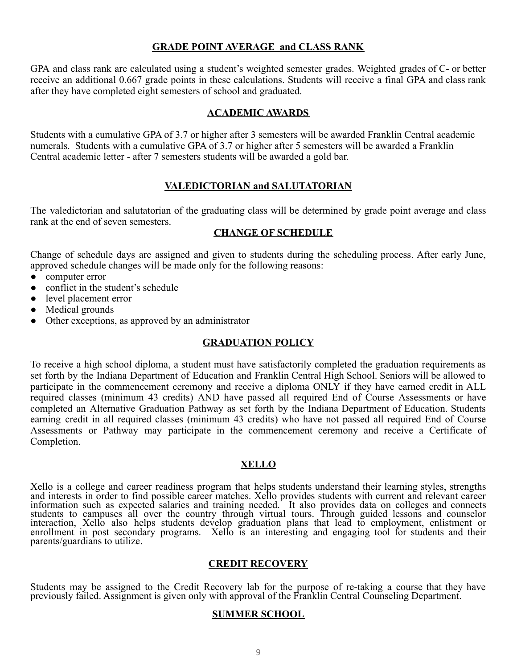#### **GRADE POINT AVERAGE and CLASS RANK**

GPA and class rank are calculated using a student's weighted semester grades. Weighted grades of C- or better receive an additional 0.667 grade points in these calculations. Students will receive a final GPA and class rank after they have completed eight semesters of school and graduated.

#### **ACADEMIC AWARDS**

Students with a cumulative GPA of 3.7 or higher after 3 semesters will be awarded Franklin Central academic numerals. Students with a cumulative GPA of 3.7 or higher after 5 semesters will be awarded a Franklin Central academic letter - after 7 semesters students will be awarded a gold bar.

#### **VALEDICTORIAN and SALUTATORIAN**

The valedictorian and salutatorian of the graduating class will be determined by grade point average and class rank at the end of seven semesters.

#### **CHANGE OF SCHEDULE**

Change of schedule days are assigned and given to students during the scheduling process. After early June, approved schedule changes will be made only for the following reasons:

- computer error
- conflict in the student's schedule
- level placement error
- Medical grounds
- Other exceptions, as approved by an administrator

#### **GRADUATION POLICY**

To receive a high school diploma, a student must have satisfactorily completed the graduation requirements as set forth by the Indiana Department of Education and Franklin Central High School. Seniors will be allowed to participate in the commencement ceremony and receive a diploma ONLY if they have earned credit in ALL required classes (minimum 43 credits) AND have passed all required End of Course Assessments or have completed an Alternative Graduation Pathway as set forth by the Indiana Department of Education. Students earning credit in all required classes (minimum 43 credits) who have not passed all required End of Course Assessments or Pathway may participate in the commencement ceremony and receive a Certificate of Completion.

#### **XELLO**

Xello is a college and career readiness program that helps students understand their learning styles, strengths and interests in order to find possible career matches. Xello provides students with current and relevant career information such as expected salaries and training needed. It also provides data on colleges and connects students to campuses all over the country through virtual tours. Through guided lessons and counselor interaction, Xello also helps students develop graduation plans that lead to employment, enlistment or enrollment in post secondary programs. Xello is an interesting and engaging tool for students and their parents/guardians to utilize.

#### **CREDIT RECOVERY**

Students may be assigned to the Credit Recovery lab for the purpose of re-taking a course that they have previously failed. Assignment is given only with approval of the Franklin Central Counseling Department.

#### **SUMMER SCHOOL**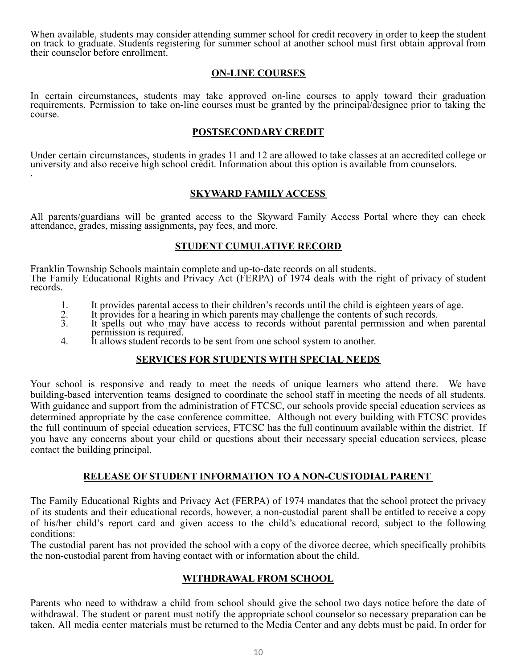When available, students may consider attending summer school for credit recovery in order to keep the student on track to graduate. Students registering for summer school at another school must first obtain approval from their counselor before enrollment.

#### **ON-LINE COURSES**

In certain circumstances, students may take approved on-line courses to apply toward their graduation requirements. Permission to take on-line courses must be granted by the principal/designee prior to taking the course.

#### **POSTSECONDARY CREDIT**

Under certain circumstances, students in grades 11 and 12 are allowed to take classes at an accredited college or university and also receive high school credit. Information about this option is available from counselors. .

#### **SKYWARD FAMILY ACCESS**

All parents/guardians will be granted access to the Skyward Family Access Portal where they can check attendance, grades, missing assignments, pay fees, and more.

#### **STUDENT CUMULATIVE RECORD**

Franklin Township Schools maintain complete and up-to-date records on all students. The Family Educational Rights and Privacy Act (FERPA) of 1974 deals with the right of privacy of student records.

- 1. It provides parental access to their children's records until the child is eighteen years of age.
- 2. It provides for a hearing in which parents may challenge the contents of such records.
- 3. It spells out who may have access to records without parental permission and when parental permission is required.
- 4. It allows student records to be sent from one school system to another.

#### **SERVICES FOR STUDENTS WITH SPECIAL NEEDS**

Your school is responsive and ready to meet the needs of unique learners who attend there. We have building-based intervention teams designed to coordinate the school staff in meeting the needs of all students. With guidance and support from the administration of FTCSC, our schools provide special education services as determined appropriate by the case conference committee. Although not every building with FTCSC provides the full continuum of special education services, FTCSC has the full continuum available within the district. If you have any concerns about your child or questions about their necessary special education services, please contact the building principal.

#### **RELEASE OF STUDENT INFORMATION TO A NON-CUSTODIAL PARENT**

The Family Educational Rights and Privacy Act (FERPA) of 1974 mandates that the school protect the privacy of its students and their educational records, however, a non-custodial parent shall be entitled to receive a copy of his/her child's report card and given access to the child's educational record, subject to the following conditions:

The custodial parent has not provided the school with a copy of the divorce decree, which specifically prohibits the non-custodial parent from having contact with or information about the child.

#### **WITHDRAWAL FROM SCHOOL**

Parents who need to withdraw a child from school should give the school two days notice before the date of withdrawal. The student or parent must notify the appropriate school counselor so necessary preparation can be taken. All media center materials must be returned to the Media Center and any debts must be paid. In order for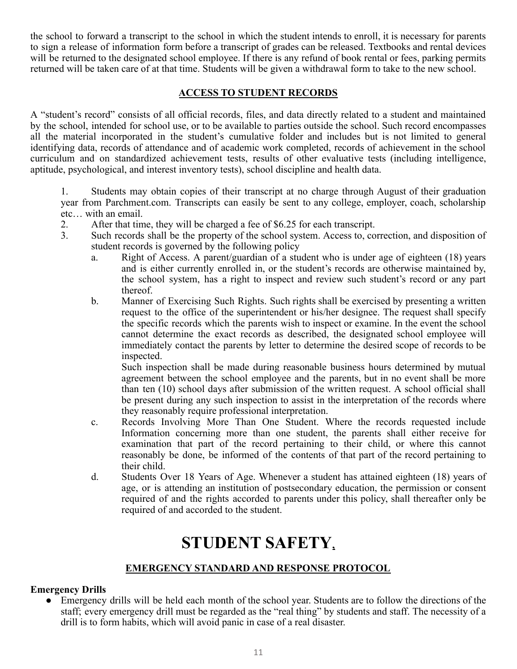the school to forward a transcript to the school in which the student intends to enroll, it is necessary for parents to sign a release of information form before a transcript of grades can be released. Textbooks and rental devices will be returned to the designated school employee. If there is any refund of book rental or fees, parking permits returned will be taken care of at that time. Students will be given a withdrawal form to take to the new school.

# **ACCESS TO STUDENT RECORDS**

A "student's record" consists of all official records, files, and data directly related to a student and maintained by the school, intended for school use, or to be available to parties outside the school. Such record encompasses all the material incorporated in the student's cumulative folder and includes but is not limited to general identifying data, records of attendance and of academic work completed, records of achievement in the school curriculum and on standardized achievement tests, results of other evaluative tests (including intelligence, aptitude, psychological, and interest inventory tests), school discipline and health data.

1. Students may obtain copies of their transcript at no charge through August of their graduation year from Parchment.com. Transcripts can easily be sent to any college, employer, coach, scholarship etc… with an email.

- 2. After that time, they will be charged a fee of \$6.25 for each transcript.
- 3. Such records shall be the property of the school system. Access to, correction, and disposition of student records is governed by the following policy
	- a. Right of Access. A parent/guardian of a student who is under age of eighteen (18) years and is either currently enrolled in, or the student's records are otherwise maintained by, the school system, has a right to inspect and review such student's record or any part thereof.
	- b. Manner of Exercising Such Rights. Such rights shall be exercised by presenting a written request to the office of the superintendent or his/her designee. The request shall specify the specific records which the parents wish to inspect or examine. In the event the school cannot determine the exact records as described, the designated school employee will immediately contact the parents by letter to determine the desired scope of records to be inspected.

Such inspection shall be made during reasonable business hours determined by mutual agreement between the school employee and the parents, but in no event shall be more than ten (10) school days after submission of the written request. A school official shall be present during any such inspection to assist in the interpretation of the records where they reasonably require professional interpretation.

- c. Records Involving More Than One Student. Where the records requested include Information concerning more than one student, the parents shall either receive for examination that part of the record pertaining to their child, or where this cannot reasonably be done, be informed of the contents of that part of the record pertaining to their child.
- d. Students Over 18 Years of Age. Whenever a student has attained eighteen (18) years of age, or is attending an institution of postsecondary education, the permission or consent required of and the rights accorded to parents under this policy, shall thereafter only be required of and accorded to the student.

# **STUDENT SAFETY,**

# **EMERGENCY STANDARD AND RESPONSE PROTOCOL**

# **Emergency Drills**

• Emergency drills will be held each month of the school year. Students are to follow the directions of the staff; every emergency drill must be regarded as the "real thing" by students and staff. The necessity of a drill is to form habits, which will avoid panic in case of a real disaster.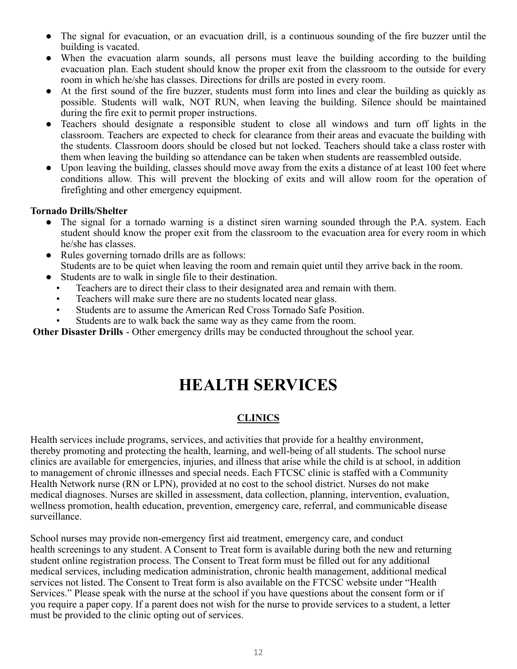- The signal for evacuation, or an evacuation drill, is a continuous sounding of the fire buzzer until the building is vacated.
- When the evacuation alarm sounds, all persons must leave the building according to the building evacuation plan. Each student should know the proper exit from the classroom to the outside for every room in which he/she has classes. Directions for drills are posted in every room.
- At the first sound of the fire buzzer, students must form into lines and clear the building as quickly as possible. Students will walk, NOT RUN, when leaving the building. Silence should be maintained during the fire exit to permit proper instructions.
- Teachers should designate a responsible student to close all windows and turn off lights in the classroom. Teachers are expected to check for clearance from their areas and evacuate the building with the students. Classroom doors should be closed but not locked. Teachers should take a class roster with them when leaving the building so attendance can be taken when students are reassembled outside.
- Upon leaving the building, classes should move away from the exits a distance of at least 100 feet where conditions allow. This will prevent the blocking of exits and will allow room for the operation of firefighting and other emergency equipment.

#### **Tornado Drills/Shelter**

- The signal for a tornado warning is a distinct siren warning sounded through the P.A. system. Each student should know the proper exit from the classroom to the evacuation area for every room in which he/she has classes.
- Rules governing tornado drills are as follows: Students are to be quiet when leaving the room and remain quiet until they arrive back in the room.
- Students are to walk in single file to their destination.
	- Teachers are to direct their class to their designated area and remain with them.
	- Teachers will make sure there are no students located near glass.
	- Students are to assume the American Red Cross Tornado Safe Position.
	- Students are to walk back the same way as they came from the room.

**Other Disaster Drills** - Other emergency drills may be conducted throughout the school year.

# **HEALTH SERVICES**

# **CLINICS**

Health services include programs, services, and activities that provide for a healthy environment, thereby promoting and protecting the health, learning, and well-being of all students. The school nurse clinics are available for emergencies, injuries, and illness that arise while the child is at school, in addition to management of chronic illnesses and special needs. Each FTCSC clinic is staffed with a Community Health Network nurse (RN or LPN), provided at no cost to the school district. Nurses do not make medical diagnoses. Nurses are skilled in assessment, data collection, planning, intervention, evaluation, wellness promotion, health education, prevention, emergency care, referral, and communicable disease surveillance.

School nurses may provide non-emergency first aid treatment, emergency care, and conduct health screenings to any student. A Consent to Treat form is available during both the new and returning student online registration process. The Consent to Treat form must be filled out for any additional medical services, including medication administration, chronic health management, additional medical services not listed. The Consent to Treat form is also available on the FTCSC website under "Health Services." Please speak with the nurse at the school if you have questions about the consent form or if you require a paper copy. If a parent does not wish for the nurse to provide services to a student, a letter must be provided to the clinic opting out of services.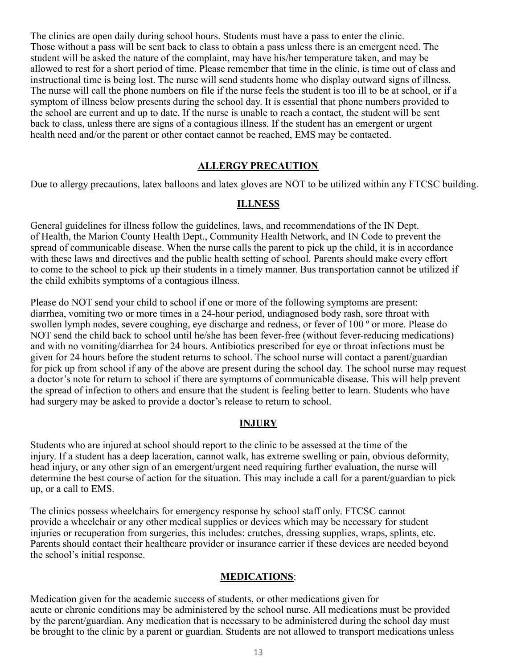The clinics are open daily during school hours. Students must have a pass to enter the clinic. Those without a pass will be sent back to class to obtain a pass unless there is an emergent need. The student will be asked the nature of the complaint, may have his/her temperature taken, and may be allowed to rest for a short period of time. Please remember that time in the clinic, is time out of class and instructional time is being lost. The nurse will send students home who display outward signs of illness. The nurse will call the phone numbers on file if the nurse feels the student is too ill to be at school, or if a symptom of illness below presents during the school day. It is essential that phone numbers provided to the school are current and up to date. If the nurse is unable to reach a contact, the student will be sent back to class, unless there are signs of a contagious illness. If the student has an emergent or urgent health need and/or the parent or other contact cannot be reached, EMS may be contacted.

#### **ALLERGY PRECAUTION**

Due to allergy precautions, latex balloons and latex gloves are NOT to be utilized within any FTCSC building.

#### **ILLNESS**

General guidelines for illness follow the guidelines, laws, and recommendations of the IN Dept. of Health, the Marion County Health Dept., Community Health Network, and IN Code to prevent the spread of communicable disease. When the nurse calls the parent to pick up the child, it is in accordance with these laws and directives and the public health setting of school. Parents should make every effort to come to the school to pick up their students in a timely manner. Bus transportation cannot be utilized if the child exhibits symptoms of a contagious illness.

Please do NOT send your child to school if one or more of the following symptoms are present: diarrhea, vomiting two or more times in a 24-hour period, undiagnosed body rash, sore throat with swollen lymph nodes, severe coughing, eye discharge and redness, or fever of 100 º or more. Please do NOT send the child back to school until he/she has been fever-free (without fever-reducing medications) and with no vomiting/diarrhea for 24 hours. Antibiotics prescribed for eye or throat infections must be given for 24 hours before the student returns to school. The school nurse will contact a parent/guardian for pick up from school if any of the above are present during the school day. The school nurse may request a doctor's note for return to school if there are symptoms of communicable disease. This will help prevent the spread of infection to others and ensure that the student is feeling better to learn. Students who have had surgery may be asked to provide a doctor's release to return to school.

#### **INJURY**

Students who are injured at school should report to the clinic to be assessed at the time of the injury. If a student has a deep laceration, cannot walk, has extreme swelling or pain, obvious deformity, head injury, or any other sign of an emergent/urgent need requiring further evaluation, the nurse will determine the best course of action for the situation. This may include a call for a parent/guardian to pick up, or a call to EMS.

The clinics possess wheelchairs for emergency response by school staff only. FTCSC cannot provide a wheelchair or any other medical supplies or devices which may be necessary for student injuries or recuperation from surgeries, this includes: crutches, dressing supplies, wraps, splints, etc. Parents should contact their healthcare provider or insurance carrier if these devices are needed beyond the school's initial response.

#### **MEDICATIONS**:

Medication given for the academic success of students, or other medications given for acute or chronic conditions may be administered by the school nurse. All medications must be provided by the parent/guardian. Any medication that is necessary to be administered during the school day must be brought to the clinic by a parent or guardian. Students are not allowed to transport medications unless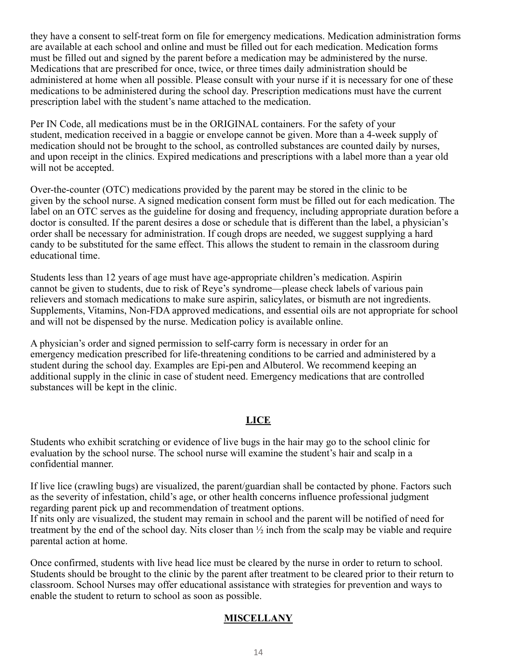they have a consent to self-treat form on file for emergency medications. Medication administration forms are available at each school and online and must be filled out for each medication. Medication forms must be filled out and signed by the parent before a medication may be administered by the nurse. Medications that are prescribed for once, twice, or three times daily administration should be administered at home when all possible. Please consult with your nurse if it is necessary for one of these medications to be administered during the school day. Prescription medications must have the current prescription label with the student's name attached to the medication.

Per IN Code, all medications must be in the ORIGINAL containers. For the safety of your student, medication received in a baggie or envelope cannot be given. More than a 4-week supply of medication should not be brought to the school, as controlled substances are counted daily by nurses, and upon receipt in the clinics. Expired medications and prescriptions with a label more than a year old will not be accepted.

Over-the-counter (OTC) medications provided by the parent may be stored in the clinic to be given by the school nurse. A signed medication consent form must be filled out for each medication. The label on an OTC serves as the guideline for dosing and frequency, including appropriate duration before a doctor is consulted. If the parent desires a dose or schedule that is different than the label, a physician's order shall be necessary for administration. If cough drops are needed, we suggest supplying a hard candy to be substituted for the same effect. This allows the student to remain in the classroom during educational time.

Students less than 12 years of age must have age-appropriate children's medication. Aspirin cannot be given to students, due to risk of Reye's syndrome—please check labels of various pain relievers and stomach medications to make sure aspirin, salicylates, or bismuth are not ingredients. Supplements, Vitamins, Non-FDA approved medications, and essential oils are not appropriate for school and will not be dispensed by the nurse. Medication policy is available online.

A physician's order and signed permission to self-carry form is necessary in order for an emergency medication prescribed for life-threatening conditions to be carried and administered by a student during the school day. Examples are Epi-pen and Albuterol. We recommend keeping an additional supply in the clinic in case of student need. Emergency medications that are controlled substances will be kept in the clinic.

#### **LICE**

Students who exhibit scratching or evidence of live bugs in the hair may go to the school clinic for evaluation by the school nurse. The school nurse will examine the student's hair and scalp in a confidential manner.

If live lice (crawling bugs) are visualized, the parent/guardian shall be contacted by phone. Factors such as the severity of infestation, child's age, or other health concerns influence professional judgment regarding parent pick up and recommendation of treatment options.

If nits only are visualized, the student may remain in school and the parent will be notified of need for treatment by the end of the school day. Nits closer than ½ inch from the scalp may be viable and require parental action at home.

Once confirmed, students with live head lice must be cleared by the nurse in order to return to school. Students should be brought to the clinic by the parent after treatment to be cleared prior to their return to classroom. School Nurses may offer educational assistance with strategies for prevention and ways to enable the student to return to school as soon as possible.

# **MISCELLANY**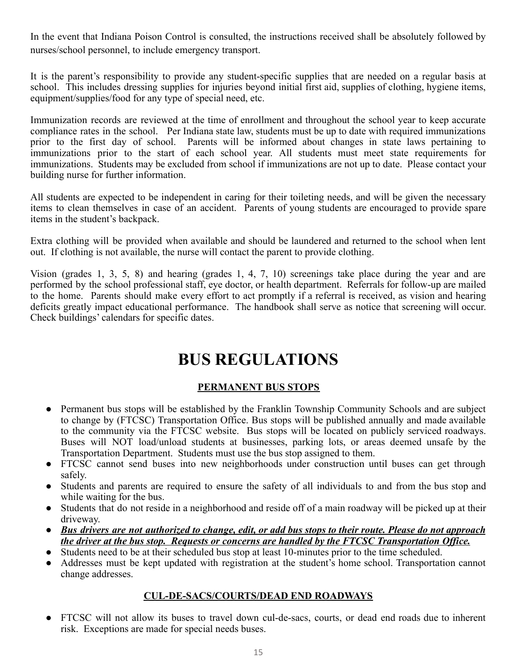In the event that Indiana Poison Control is consulted, the instructions received shall be absolutely followed by nurses/school personnel, to include emergency transport.

It is the parent's responsibility to provide any student-specific supplies that are needed on a regular basis at school. This includes dressing supplies for injuries beyond initial first aid, supplies of clothing, hygiene items, equipment/supplies/food for any type of special need, etc.

Immunization records are reviewed at the time of enrollment and throughout the school year to keep accurate compliance rates in the school. Per Indiana state law, students must be up to date with required immunizations prior to the first day of school. Parents will be informed about changes in state laws pertaining to immunizations prior to the start of each school year. All students must meet state requirements for immunizations. Students may be excluded from school if immunizations are not up to date. Please contact your building nurse for further information.

All students are expected to be independent in caring for their toileting needs, and will be given the necessary items to clean themselves in case of an accident. Parents of young students are encouraged to provide spare items in the student's backpack.

Extra clothing will be provided when available and should be laundered and returned to the school when lent out. If clothing is not available, the nurse will contact the parent to provide clothing.

Vision (grades 1, 3, 5, 8) and hearing (grades 1, 4, 7, 10) screenings take place during the year and are performed by the school professional staff, eye doctor, or health department. Referrals for follow-up are mailed to the home. Parents should make every effort to act promptly if a referral is received, as vision and hearing deficits greatly impact educational performance. The handbook shall serve as notice that screening will occur. Check buildings' calendars for specific dates.

# **BUS REGULATIONS**

# **PERMANENT BUS STOPS**

- Permanent bus stops will be established by the Franklin Township Community Schools and are subject to change by (FTCSC) Transportation Office. Bus stops will be published annually and made available to the community via the FTCSC website. Bus stops will be located on publicly serviced roadways. Buses will NOT load/unload students at businesses, parking lots, or areas deemed unsafe by the Transportation Department. Students must use the bus stop assigned to them.
- FTCSC cannot send buses into new neighborhoods under construction until buses can get through safely.
- Students and parents are required to ensure the safety of all individuals to and from the bus stop and while waiting for the bus.
- Students that do not reside in a neighborhood and reside off of a main roadway will be picked up at their driveway.
- Bus drivers are not authorized to change, edit, or add bus stops to their route. Please do not approach *the driver at the bus stop. Requests or concerns are handled by the FTCSC Transportation Office.*
- Students need to be at their scheduled bus stop at least 10-minutes prior to the time scheduled.
- Addresses must be kept updated with registration at the student's home school. Transportation cannot change addresses.

# **CUL-DE-SACS/COURTS/DEAD END ROADWAYS**

FTCSC will not allow its buses to travel down cul-de-sacs, courts, or dead end roads due to inherent risk. Exceptions are made for special needs buses.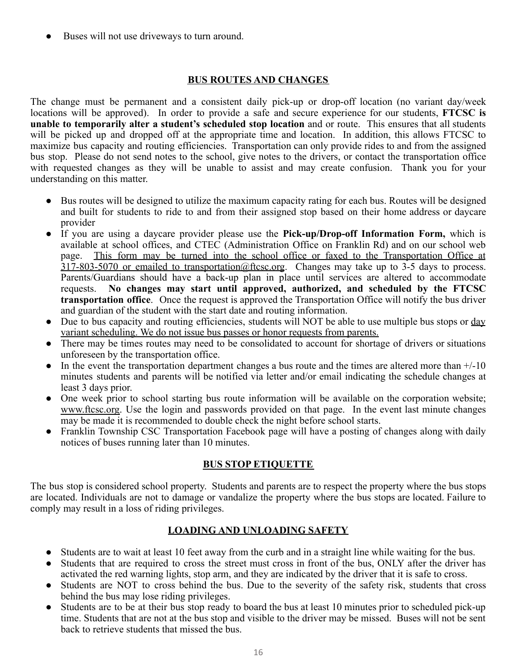Buses will not use driveways to turn around.

# **BUS ROUTES AND CHANGES**

The change must be permanent and a consistent daily pick-up or drop-off location (no variant day/week locations will be approved). In order to provide a safe and secure experience for our students, **FTCSC is unable to temporarily alter a student's scheduled stop location** and or route. This ensures that all students will be picked up and dropped off at the appropriate time and location. In addition, this allows FTCSC to maximize bus capacity and routing efficiencies. Transportation can only provide rides to and from the assigned bus stop. Please do not send notes to the school, give notes to the drivers, or contact the transportation office with requested changes as they will be unable to assist and may create confusion. Thank you for your understanding on this matter.

- Bus routes will be designed to utilize the maximum capacity rating for each bus. Routes will be designed and built for students to ride to and from their assigned stop based on their home address or daycare provider
- If you are using a daycare provider please use the **Pick-up/Drop-off Information Form,** which is available at school offices, and CTEC (Administration Office on Franklin Rd) and on our school web page. This form may be turned into the school office or faxed to the Transportation Office at  $317-803-5070$  or emailed to transportation@ftcsc.org. Changes may take up to 3-5 days to process. Parents/Guardians should have a back-up plan in place until services are altered to accommodate requests. **No changes may start until approved, authorized, and scheduled by the FTCSC transportation office**. Once the request is approved the Transportation Office will notify the bus driver and guardian of the student with the start date and routing information.
- Due to bus capacity and routing efficiencies, students will NOT be able to use multiple bus stops or day variant scheduling. We do not issue bus passes or honor requests from parents.
- There may be times routes may need to be consolidated to account for shortage of drivers or situations unforeseen by the transportation office.
- In the event the transportation department changes a bus route and the times are altered more than  $+/-10$ minutes students and parents will be notified via letter and/or email indicating the schedule changes at least 3 days prior.
- One week prior to school starting bus route information will be available on the corporation website; [www.ftcsc.org.](http://www.ftcsc.org/) Use the login and passwords provided on that page. In the event last minute changes may be made it is recommended to double check the night before school starts.
- Franklin Township CSC Transportation Facebook page will have a posting of changes along with daily notices of buses running later than 10 minutes.

# **BUS STOP ETIQUETTE**

The bus stop is considered school property. Students and parents are to respect the property where the bus stops are located. Individuals are not to damage or vandalize the property where the bus stops are located. Failure to comply may result in a loss of riding privileges.

# **LOADING AND UNLOADING SAFETY**

- **●** Students are to wait at least 10 feet away from the curb and in a straight line while waiting for the bus.
- Students that are required to cross the street must cross in front of the bus, ONLY after the driver has activated the red warning lights, stop arm, and they are indicated by the driver that it is safe to cross.
- **●** Students are NOT to cross behind the bus. Due to the severity of the safety risk, students that cross behind the bus may lose riding privileges.
- **●** Students are to be at their bus stop ready to board the bus at least 10 minutes prior to scheduled pick-up time. Students that are not at the bus stop and visible to the driver may be missed. Buses will not be sent back to retrieve students that missed the bus.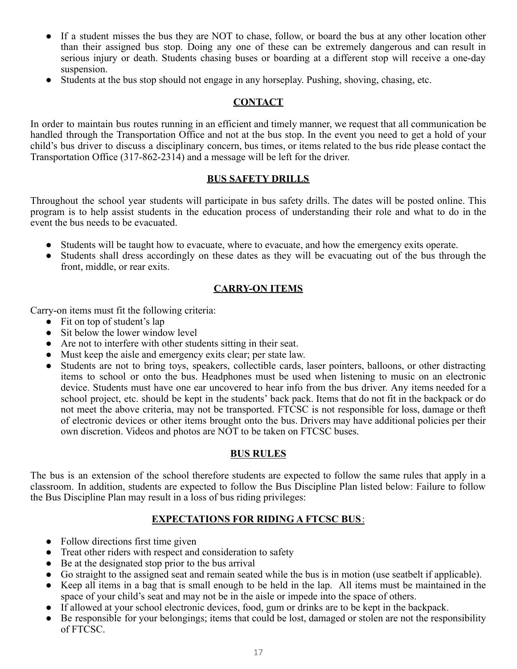- **●** If a student misses the bus they are NOT to chase, follow, or board the bus at any other location other than their assigned bus stop. Doing any one of these can be extremely dangerous and can result in serious injury or death. Students chasing buses or boarding at a different stop will receive a one-day suspension.
- **●** Students at the bus stop should not engage in any horseplay. Pushing, shoving, chasing, etc.

# **CONTACT**

In order to maintain bus routes running in an efficient and timely manner, we request that all communication be handled through the Transportation Office and not at the bus stop. In the event you need to get a hold of your child's bus driver to discuss a disciplinary concern, bus times, or items related to the bus ride please contact the Transportation Office (317-862-2314) and a message will be left for the driver.

# **BUS SAFETY DRILLS**

Throughout the school year students will participate in bus safety drills. The dates will be posted online. This program is to help assist students in the education process of understanding their role and what to do in the event the bus needs to be evacuated.

- Students will be taught how to evacuate, where to evacuate, and how the emergency exits operate.
- Students shall dress accordingly on these dates as they will be evacuating out of the bus through the front, middle, or rear exits.

# **CARRY-ON ITEMS**

Carry-on items must fit the following criteria:

- Fit on top of student's lap
- Sit below the lower window level
- Are not to interfere with other students sitting in their seat.
- Must keep the aisle and emergency exits clear; per state law.
- Students are not to bring toys, speakers, collectible cards, laser pointers, balloons, or other distracting items to school or onto the bus. Headphones must be used when listening to music on an electronic device. Students must have one ear uncovered to hear info from the bus driver. Any items needed for a school project, etc. should be kept in the students' back pack. Items that do not fit in the backpack or do not meet the above criteria, may not be transported. FTCSC is not responsible for loss, damage or theft of electronic devices or other items brought onto the bus. Drivers may have additional policies per their own discretion. Videos and photos are NOT to be taken on FTCSC buses.

# **BUS RULES**

The bus is an extension of the school therefore students are expected to follow the same rules that apply in a classroom. In addition, students are expected to follow the Bus Discipline Plan listed below: Failure to follow the Bus Discipline Plan may result in a loss of bus riding privileges:

# **EXPECTATIONS FOR RIDING A FTCSC BUS**:

- Follow directions first time given
- Treat other riders with respect and consideration to safety
- Be at the designated stop prior to the bus arrival
- Go straight to the assigned seat and remain seated while the bus is in motion (use seatbelt if applicable).
- Keep all items in a bag that is small enough to be held in the lap. All items must be maintained in the space of your child's seat and may not be in the aisle or impede into the space of others.
- If allowed at your school electronic devices, food, gum or drinks are to be kept in the backpack.
- Be responsible for your belongings; items that could be lost, damaged or stolen are not the responsibility of FTCSC.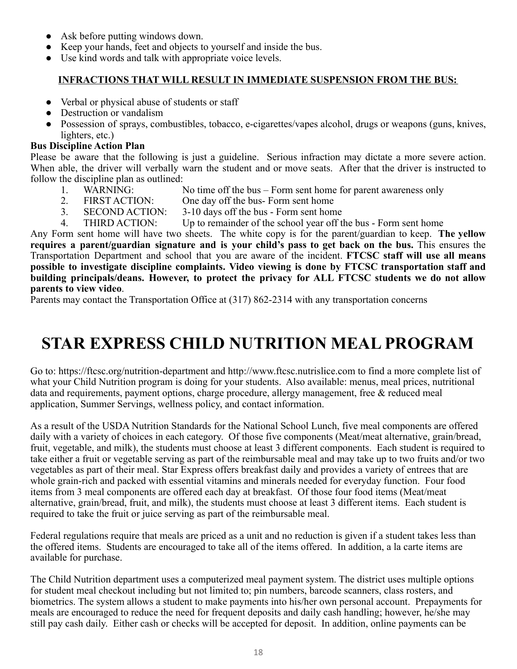- Ask before putting windows down.
- Keep your hands, feet and objects to yourself and inside the bus.
- Use kind words and talk with appropriate voice levels.

# **INFRACTIONS THAT WILL RESULT IN IMMEDIATE SUSPENSION FROM THE BUS:**

- Verbal or physical abuse of students or staff
- Destruction or vandalism
- Possession of sprays, combustibles, tobacco, e-cigarettes/vapes alcohol, drugs or weapons (guns, knives, lighters, etc.)

# **Bus Discipline Action Plan**

Please be aware that the following is just a guideline. Serious infraction may dictate a more severe action. When able, the driver will verbally warn the student and or move seats. After that the driver is instructed to follow the discipline plan as outlined:

- 1. WARNING: No time off the bus Form sent home for parent awareness only<br>2. FIRST ACTION: One day off the bus- Form sent home
- FIRST ACTION: One day off the bus- Form sent home
- 3. SECOND ACTION: 3-10 days off the bus Form sent home
- 4. THIRD ACTION: Up to remainder of the school year off the bus Form sent home

Any Form sent home will have two sheets. The white copy is for the parent/guardian to keep. **The yellow requires a parent/guardian signature and is your child's pass to get back on the bus.** This ensures the Transportation Department and school that you are aware of the incident. **FTCSC staff will use all means possible to investigate discipline complaints. Video viewing is done by FTCSC transportation staff and building principals/deans. However, to protect the privacy for ALL FTCSC students we do not allow parents to view video**.

Parents may contact the Transportation Office at (317) 862-2314 with any transportation concerns

# **STAR EXPRESS CHILD NUTRITION MEAL PROGRAM**

Go to: https://ftcsc.org/nutrition-department and http://www.ftcsc.nutrislice.com to find a more complete list of what your Child Nutrition program is doing for your students. Also available: menus, meal prices, nutritional data and requirements, payment options, charge procedure, allergy management, free & reduced meal application, Summer Servings, wellness policy, and contact information.

As a result of the USDA Nutrition Standards for the National School Lunch, five meal components are offered daily with a variety of choices in each category. Of those five components (Meat/meat alternative, grain/bread, fruit, vegetable, and milk), the students must choose at least 3 different components. Each student is required to take either a fruit or vegetable serving as part of the reimbursable meal and may take up to two fruits and/or two vegetables as part of their meal. Star Express offers breakfast daily and provides a variety of entrees that are whole grain-rich and packed with essential vitamins and minerals needed for everyday function. Four food items from 3 meal components are offered each day at breakfast. Of those four food items (Meat/meat alternative, grain/bread, fruit, and milk), the students must choose at least 3 different items. Each student is required to take the fruit or juice serving as part of the reimbursable meal.

Federal regulations require that meals are priced as a unit and no reduction is given if a student takes less than the offered items. Students are encouraged to take all of the items offered. In addition, a la carte items are available for purchase.

The Child Nutrition department uses a computerized meal payment system. The district uses multiple options for student meal checkout including but not limited to; pin numbers, barcode scanners, class rosters, and biometrics. The system allows a student to make payments into his/her own personal account. Prepayments for meals are encouraged to reduce the need for frequent deposits and daily cash handling; however, he/she may still pay cash daily. Either cash or checks will be accepted for deposit. In addition, online payments can be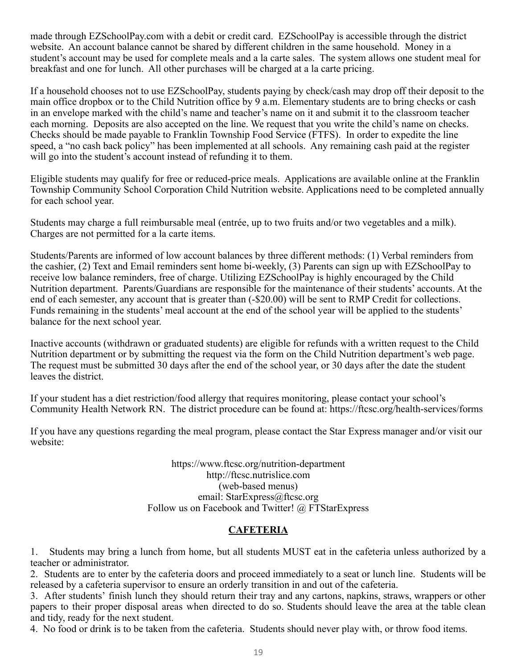made through EZSchoolPay.com with a debit or credit card. EZSchoolPay is accessible through the district website. An account balance cannot be shared by different children in the same household. Money in a student's account may be used for complete meals and a la carte sales. The system allows one student meal for breakfast and one for lunch. All other purchases will be charged at a la carte pricing.

If a household chooses not to use EZSchoolPay, students paying by check/cash may drop off their deposit to the main office dropbox or to the Child Nutrition office by 9 a.m. Elementary students are to bring checks or cash in an envelope marked with the child's name and teacher's name on it and submit it to the classroom teacher each morning. Deposits are also accepted on the line. We request that you write the child's name on checks. Checks should be made payable to Franklin Township Food Service (FTFS). In order to expedite the line speed, a "no cash back policy" has been implemented at all schools. Any remaining cash paid at the register will go into the student's account instead of refunding it to them.

Eligible students may qualify for free or reduced-price meals. Applications are available online at the Franklin Township Community School Corporation Child Nutrition website. Applications need to be completed annually for each school year.

Students may charge a full reimbursable meal (entrée, up to two fruits and/or two vegetables and a milk). Charges are not permitted for a la carte items.

Students/Parents are informed of low account balances by three different methods: (1) Verbal reminders from the cashier, (2) Text and Email reminders sent home bi-weekly, (3) Parents can sign up with EZSchoolPay to receive low balance reminders, free of charge. Utilizing EZSchoolPay is highly encouraged by the Child Nutrition department. Parents/Guardians are responsible for the maintenance of their students' accounts. At the end of each semester, any account that is greater than  $(-\$20.00)$  will be sent to RMP Credit for collections. Funds remaining in the students' meal account at the end of the school year will be applied to the students' balance for the next school year.

Inactive accounts (withdrawn or graduated students) are eligible for refunds with a written request to the Child Nutrition department or by submitting the request via the form on the Child Nutrition department's web page. The request must be submitted 30 days after the end of the school year, or 30 days after the date the student leaves the district.

If your student has a diet restriction/food allergy that requires monitoring, please contact your school's Community Health Network RN. The district procedure can be found at: https://ftcsc.org/health-services/forms

If you have any questions regarding the meal program, please contact the Star Express manager and/or visit our website:

> https://www.ftcsc.org/nutrition-department http://ftcsc.nutrislice.com (web-based menus) email: StarExpress@ftcsc.org Follow us on Facebook and Twitter! @ FTStarExpress

# **CAFETERIA**

1. Students may bring a lunch from home, but all students MUST eat in the cafeteria unless authorized by a teacher or administrator.

2. Students are to enter by the cafeteria doors and proceed immediately to a seat or lunch line. Students will be released by a cafeteria supervisor to ensure an orderly transition in and out of the cafeteria.

3. After students' finish lunch they should return their tray and any cartons, napkins, straws, wrappers or other papers to their proper disposal areas when directed to do so. Students should leave the area at the table clean and tidy, ready for the next student.

4. No food or drink is to be taken from the cafeteria. Students should never play with, or throw food items.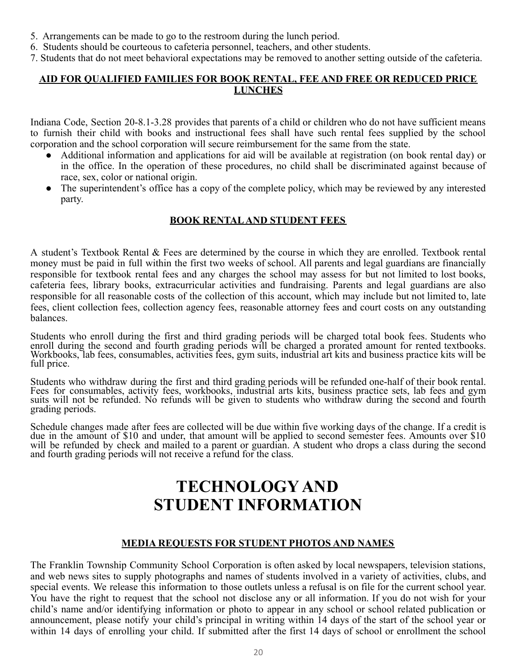- 5. Arrangements can be made to go to the restroom during the lunch period.
- 6. Students should be courteous to cafeteria personnel, teachers, and other students.
- 7. Students that do not meet behavioral expectations may be removed to another setting outside of the cafeteria.

# **AID FOR QUALIFIED FAMILIES FOR BOOK RENTAL, FEE AND FREE OR REDUCED PRICE LUNCHES**

Indiana Code, Section 20-8.1-3.28 provides that parents of a child or children who do not have sufficient means to furnish their child with books and instructional fees shall have such rental fees supplied by the school corporation and the school corporation will secure reimbursement for the same from the state.

- Additional information and applications for aid will be available at registration (on book rental day) or in the office. In the operation of these procedures, no child shall be discriminated against because of race, sex, color or national origin.
- The superintendent's office has a copy of the complete policy, which may be reviewed by any interested party.

# **BOOK RENTALAND STUDENT FEES**

A student's Textbook Rental & Fees are determined by the course in which they are enrolled. Textbook rental money must be paid in full within the first two weeks of school. All parents and legal guardians are financially responsible for textbook rental fees and any charges the school may assess for but not limited to lost books, cafeteria fees, library books, extracurricular activities and fundraising. Parents and legal guardians are also responsible for all reasonable costs of the collection of this account, which may include but not limited to, late fees, client collection fees, collection agency fees, reasonable attorney fees and court costs on any outstanding balances.

Students who enroll during the first and third grading periods will be charged total book fees. Students who enroll during the second and fourth grading periods will be charged a prorated amount for rented textbooks. Workbooks, lab fees, consumables, activities fees, gym suits, industrial art kits and business practice kits will be full price.

Students who withdraw during the first and third grading periods will be refunded one-half of their book rental. Fees for consumables, activity fees, workbooks, industrial arts kits, business practice sets, lab fees and gym suits will not be refunded. No refunds will be given to students who withdraw during the second and fourth grading periods.

Schedule changes made after fees are collected will be due within five working days of the change. If a credit is due in the amount of \$10 and under, that amount will be applied to second semester fees. Amounts over \$10 will be refunded by check and mailed to a parent or guardian. A student who drops a class during the second and fourth grading periods will not receive a refund for the class.

# **TECHNOLOGY AND STUDENT INFORMATION**

# **MEDIA REQUESTS FOR STUDENT PHOTOS AND NAMES**

The Franklin Township Community School Corporation is often asked by local newspapers, television stations, and web news sites to supply photographs and names of students involved in a variety of activities, clubs, and special events. We release this information to those outlets unless a refusal is on file for the current school year. You have the right to request that the school not disclose any or all information. If you do not wish for your child's name and/or identifying information or photo to appear in any school or school related publication or announcement, please notify your child's principal in writing within 14 days of the start of the school year or within 14 days of enrolling your child. If submitted after the first 14 days of school or enrollment the school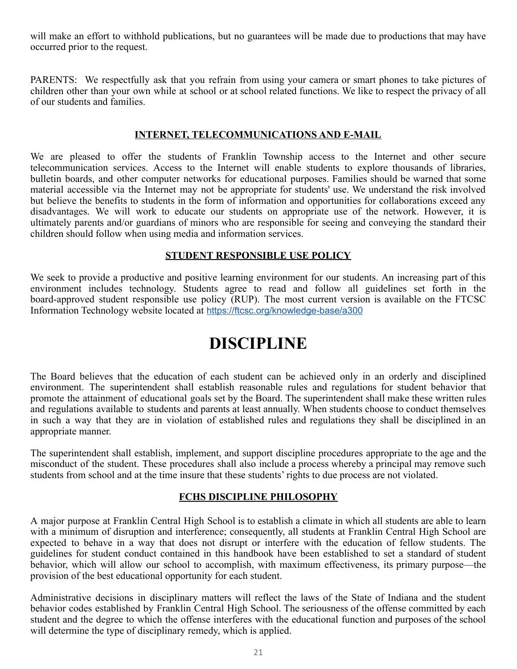will make an effort to withhold publications, but no guarantees will be made due to productions that may have occurred prior to the request.

PARENTS: We respectfully ask that you refrain from using your camera or smart phones to take pictures of children other than your own while at school or at school related functions. We like to respect the privacy of all of our students and families.

#### **INTERNET, TELECOMMUNICATIONS AND E-MAIL**

We are pleased to offer the students of Franklin Township access to the Internet and other secure telecommunication services. Access to the Internet will enable students to explore thousands of libraries, bulletin boards, and other computer networks for educational purposes. Families should be warned that some material accessible via the Internet may not be appropriate for students' use. We understand the risk involved but believe the benefits to students in the form of information and opportunities for collaborations exceed any disadvantages. We will work to educate our students on appropriate use of the network. However, it is ultimately parents and/or guardians of minors who are responsible for seeing and conveying the standard their children should follow when using media and information services.

#### **STUDENT RESPONSIBLE USE POLICY**

We seek to provide a productive and positive learning environment for our students. An increasing part of this environment includes technology. Students agree to read and follow all guidelines set forth in the board-approved student responsible use policy (RUP). The most current version is available on the FTCSC Information Technology website located at [https://ftcsc.org/knowledge-base/a300](https://ftcsc.org/knowledge-base/a300/)

# **DISCIPLINE**

The Board believes that the education of each student can be achieved only in an orderly and disciplined environment. The superintendent shall establish reasonable rules and regulations for student behavior that promote the attainment of educational goals set by the Board. The superintendent shall make these written rules and regulations available to students and parents at least annually. When students choose to conduct themselves in such a way that they are in violation of established rules and regulations they shall be disciplined in an appropriate manner.

The superintendent shall establish, implement, and support discipline procedures appropriate to the age and the misconduct of the student. These procedures shall also include a process whereby a principal may remove such students from school and at the time insure that these students' rights to due process are not violated.

#### **FCHS DISCIPLINE PHILOSOPHY**

A major purpose at Franklin Central High School is to establish a climate in which all students are able to learn with a minimum of disruption and interference; consequently, all students at Franklin Central High School are expected to behave in a way that does not disrupt or interfere with the education of fellow students. The guidelines for student conduct contained in this handbook have been established to set a standard of student behavior, which will allow our school to accomplish, with maximum effectiveness, its primary purpose—the provision of the best educational opportunity for each student.

Administrative decisions in disciplinary matters will reflect the laws of the State of Indiana and the student behavior codes established by Franklin Central High School. The seriousness of the offense committed by each student and the degree to which the offense interferes with the educational function and purposes of the school will determine the type of disciplinary remedy, which is applied.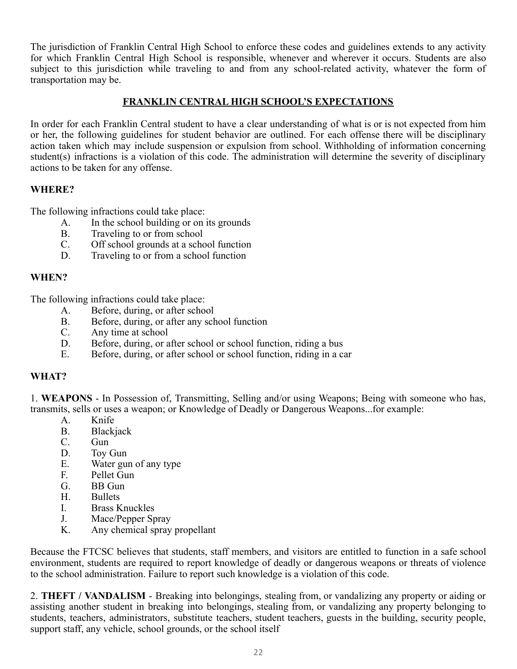The jurisdiction of Franklin Central High School to enforce these codes and guidelines extends to any activity for which Franklin Central High School is responsible, whenever and wherever it occurs. Students are also subject to this jurisdiction while traveling to and from any school-related activity, whatever the form of transportation may be.

# **FRANKLIN CENTRAL HIGH SCHOOL'S EXPECTATIONS**

In order for each Franklin Central student to have a clear understanding of what is or is not expected from him or her, the following guidelines for student behavior are outlined. For each offense there will be disciplinary action taken which may include suspension or expulsion from school. Withholding of information concerning student(s) infractions is a violation of this code. The administration will determine the severity of disciplinary actions to be taken for any offense.

# **WHERE?**

The following infractions could take place:

- A. In the school building or on its grounds
- B. Traveling to or from school
- C. Off school grounds at a school function
- D. Traveling to or from a school function

# **WHEN?**

The following infractions could take place:

- A. Before, during, or after school
- B. Before, during, or after any school function
- C. Any time at school
- D. Before, during, or after school or school function, riding a bus<br>E. Before, during or after school or school function, riding in a ca
- Before, during, or after school or school function, riding in a car

# **WHAT?**

1. **WEAPONS** - In Possession of, Transmitting, Selling and/or using Weapons; Being with someone who has, transmits, sells or uses a weapon; or Knowledge of Deadly or Dangerous Weapons...for example:

- A. Knife
- B. Blackjack
- C. Gun
- D. Toy Gun
- E. Water gun of any type
- F. Pellet Gun<br>G. BB Gun
- BB Gun
- H. Bullets
- I. Brass Knuckles
- J. Mace/Pepper Spray
- K. Any chemical spray propellant

Because the FTCSC believes that students, staff members, and visitors are entitled to function in a safe school environment, students are required to report knowledge of deadly or dangerous weapons or threats of violence to the school administration. Failure to report such knowledge is a violation of this code.

2. **THEFT / VANDALISM** - Breaking into belongings, stealing from, or vandalizing any property or aiding or assisting another student in breaking into belongings, stealing from, or vandalizing any property belonging to students, teachers, administrators, substitute teachers, student teachers, guests in the building, security people, support staff, any vehicle, school grounds, or the school itself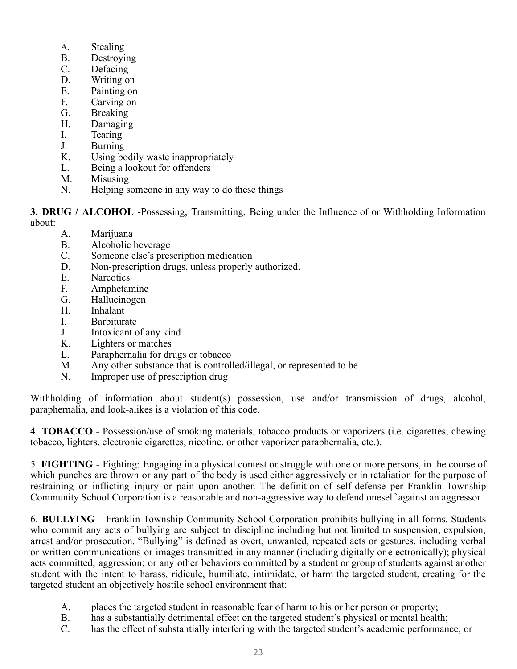- A. Stealing
- B. Destroying
- C. Defacing
- D. Writing on
- E. Painting on
- F. Carving on
- G. Breaking
- H. Damaging
- I. Tearing
- J. Burning
- K. Using bodily waste inappropriately
- L. Being a lookout for offenders
- M. Misusing
- N. Helping someone in any way to do these things

**3. DRUG / ALCOHOL** -Possessing, Transmitting, Being under the Influence of or Withholding Information

about:

- A. Marijuana
- B. Alcoholic beverage
- C. Someone else's prescription medication
- D. Non-prescription drugs, unless properly authorized.
- E. Narcotics
- F. Amphetamine
- G. Hallucinogen
- H. Inhalant
- I. Barbiturate
- J. Intoxicant of any kind<br>K. Lighters or matches
- Lighters or matches
- L. Paraphernalia for drugs or tobacco
- M. Any other substance that is controlled/illegal, or represented to be N. Improper use of prescription drug
- Improper use of prescription drug

Withholding of information about student(s) possession, use and/or transmission of drugs, alcohol, paraphernalia, and look-alikes is a violation of this code.

4. **TOBACCO** - Possession/use of smoking materials, tobacco products or vaporizers (i.e. cigarettes, chewing tobacco, lighters, electronic cigarettes, nicotine, or other vaporizer paraphernalia, etc.).

5. **FIGHTING** - Fighting: Engaging in a physical contest or struggle with one or more persons, in the course of which punches are thrown or any part of the body is used either aggressively or in retaliation for the purpose of restraining or inflicting injury or pain upon another. The definition of self-defense per Franklin Township Community School Corporation is a reasonable and non-aggressive way to defend oneself against an aggressor.

6. **BULLYING** - Franklin Township Community School Corporation prohibits bullying in all forms. Students who commit any acts of bullying are subject to discipline including but not limited to suspension, expulsion, arrest and/or prosecution. "Bullying" is defined as overt, unwanted, repeated acts or gestures, including verbal or written communications or images transmitted in any manner (including digitally or electronically); physical acts committed; aggression; or any other behaviors committed by a student or group of students against another student with the intent to harass, ridicule, humiliate, intimidate, or harm the targeted student, creating for the targeted student an objectively hostile school environment that:

- A. places the targeted student in reasonable fear of harm to his or her person or property;
- B. has a substantially detrimental effect on the targeted student's physical or mental health;
- C. has the effect of substantially interfering with the targeted student's academic performance; or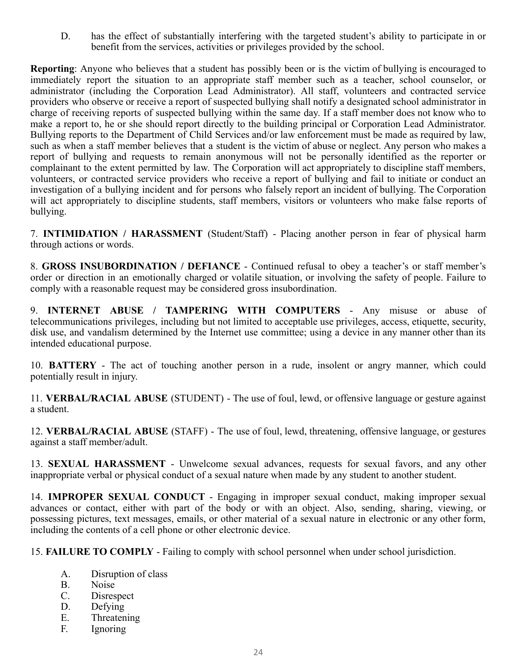D. has the effect of substantially interfering with the targeted student's ability to participate in or benefit from the services, activities or privileges provided by the school.

**Reporting**: Anyone who believes that a student has possibly been or is the victim of bullying is encouraged to immediately report the situation to an appropriate staff member such as a teacher, school counselor, or administrator (including the Corporation Lead Administrator). All staff, volunteers and contracted service providers who observe or receive a report of suspected bullying shall notify a designated school administrator in charge of receiving reports of suspected bullying within the same day. If a staff member does not know who to make a report to, he or she should report directly to the building principal or Corporation Lead Administrator. Bullying reports to the Department of Child Services and/or law enforcement must be made as required by law, such as when a staff member believes that a student is the victim of abuse or neglect. Any person who makes a report of bullying and requests to remain anonymous will not be personally identified as the reporter or complainant to the extent permitted by law. The Corporation will act appropriately to discipline staff members, volunteers, or contracted service providers who receive a report of bullying and fail to initiate or conduct an investigation of a bullying incident and for persons who falsely report an incident of bullying. The Corporation will act appropriately to discipline students, staff members, visitors or volunteers who make false reports of bullying.

7. **INTIMIDATION / HARASSMENT** (Student/Staff) - Placing another person in fear of physical harm through actions or words.

8. **GROSS INSUBORDINATION / DEFIANCE** - Continued refusal to obey a teacher's or staff member's order or direction in an emotionally charged or volatile situation, or involving the safety of people. Failure to comply with a reasonable request may be considered gross insubordination.

9. **INTERNET ABUSE / TAMPERING WITH COMPUTERS** - Any misuse or abuse of telecommunications privileges, including but not limited to acceptable use privileges, access, etiquette, security, disk use, and vandalism determined by the Internet use committee; using a device in any manner other than its intended educational purpose.

10. **BATTERY** - The act of touching another person in a rude, insolent or angry manner, which could potentially result in injury.

11. **VERBAL/RACIAL ABUSE** (STUDENT) - The use of foul, lewd, or offensive language or gesture against a student.

12. **VERBAL/RACIAL ABUSE** (STAFF) - The use of foul, lewd, threatening, offensive language, or gestures against a staff member/adult.

13. **SEXUAL HARASSMENT** - Unwelcome sexual advances, requests for sexual favors, and any other inappropriate verbal or physical conduct of a sexual nature when made by any student to another student.

14. **IMPROPER SEXUAL CONDUCT** - Engaging in improper sexual conduct, making improper sexual advances or contact, either with part of the body or with an object. Also, sending, sharing, viewing, or possessing pictures, text messages, emails, or other material of a sexual nature in electronic or any other form, including the contents of a cell phone or other electronic device.

15. **FAILURE TO COMPLY** - Failing to comply with school personnel when under school jurisdiction.

- A. Disruption of class
- B. Noise
- C. Disrespect
- D. Defying
- E. Threatening
- F. Ignoring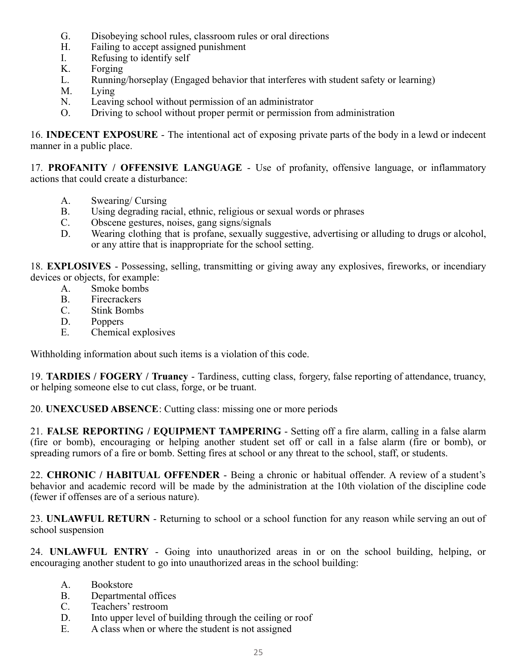- G. Disobeying school rules, classroom rules or oral directions<br>H. Failing to accept assigned punishment
- Failing to accept assigned punishment
- I. Refusing to identify self
- K. Forging
- L. Running/horseplay (Engaged behavior that interferes with student safety or learning)
- M. Lying
- N. Leaving school without permission of an administrator
- O. Driving to school without proper permit or permission from administration

16. **INDECENT EXPOSURE** - The intentional act of exposing private parts of the body in a lewd or indecent manner in a public place.

17. **PROFANITY / OFFENSIVE LANGUAGE** - Use of profanity, offensive language, or inflammatory actions that could create a disturbance:

- A. Swearing/ Cursing
- B. Using degrading racial, ethnic, religious or sexual words or phrases
- C. Obscene gestures, noises, gang signs/signals
- D. Wearing clothing that is profane, sexually suggestive, advertising or alluding to drugs or alcohol, or any attire that is inappropriate for the school setting.

18. **EXPLOSIVES** - Possessing, selling, transmitting or giving away any explosives, fireworks, or incendiary devices or objects, for example:

- A. Smoke bombs
- B. Firecrackers
- C. Stink Bombs
- D. Poppers
- E. Chemical explosives

Withholding information about such items is a violation of this code.

19. **TARDIES / FOGERY / Truancy** - Tardiness, cutting class, forgery, false reporting of attendance, truancy, or helping someone else to cut class, forge, or be truant.

20. **UNEXCUSED ABSENCE**: Cutting class: missing one or more periods

21. **FALSE REPORTING / EQUIPMENT TAMPERING** - Setting off a fire alarm, calling in a false alarm (fire or bomb), encouraging or helping another student set off or call in a false alarm (fire or bomb), or spreading rumors of a fire or bomb. Setting fires at school or any threat to the school, staff, or students.

22. **CHRONIC / HABITUAL OFFENDER** - Being a chronic or habitual offender. A review of a student's behavior and academic record will be made by the administration at the 10th violation of the discipline code (fewer if offenses are of a serious nature).

23. **UNLAWFUL RETURN** - Returning to school or a school function for any reason while serving an out of school suspension

24. **UNLAWFUL ENTRY** - Going into unauthorized areas in or on the school building, helping, or encouraging another student to go into unauthorized areas in the school building:

- A. Bookstore
- B. Departmental offices
- C. Teachers' restroom
- D. Into upper level of building through the ceiling or roof
- E. A class when or where the student is not assigned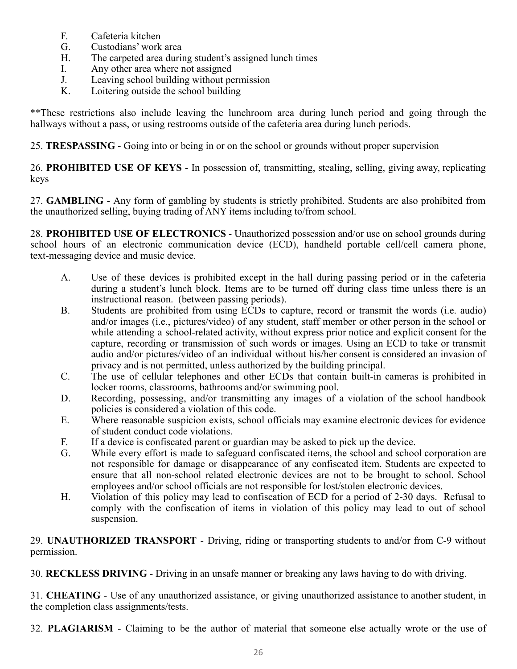- F. Cafeteria kitchen
- G. Custodians' work area
- H. The carpeted area during student's assigned lunch times
- 
- I. Any other area where not assigned<br>J. Leaving school building without pe Leaving school building without permission
- K. Loitering outside the school building

\*\*These restrictions also include leaving the lunchroom area during lunch period and going through the hallways without a pass, or using restrooms outside of the cafeteria area during lunch periods.

25. **TRESPASSING** - Going into or being in or on the school or grounds without proper supervision

26. **PROHIBITED USE OF KEYS** - In possession of, transmitting, stealing, selling, giving away, replicating keys

27. **GAMBLING** - Any form of gambling by students is strictly prohibited. Students are also prohibited from the unauthorized selling, buying trading of ANY items including to/from school.

28. **PROHIBITED USE OF ELECTRONICS** - Unauthorized possession and/or use on school grounds during school hours of an electronic communication device (ECD), handheld portable cell/cell camera phone, text-messaging device and music device.

- A. Use of these devices is prohibited except in the hall during passing period or in the cafeteria during a student's lunch block. Items are to be turned off during class time unless there is an instructional reason. (between passing periods).
- B. Students are prohibited from using ECDs to capture, record or transmit the words (i.e. audio) and/or images (i.e., pictures/video) of any student, staff member or other person in the school or while attending a school-related activity, without express prior notice and explicit consent for the capture, recording or transmission of such words or images. Using an ECD to take or transmit audio and/or pictures/video of an individual without his/her consent is considered an invasion of privacy and is not permitted, unless authorized by the building principal.
- C. The use of cellular telephones and other ECDs that contain built-in cameras is prohibited in locker rooms, classrooms, bathrooms and/or swimming pool.
- D. Recording, possessing, and/or transmitting any images of a violation of the school handbook policies is considered a violation of this code.
- E. Where reasonable suspicion exists, school officials may examine electronic devices for evidence of student conduct code violations.
- F. If a device is confiscated parent or guardian may be asked to pick up the device.
- G. While every effort is made to safeguard confiscated items, the school and school corporation are not responsible for damage or disappearance of any confiscated item. Students are expected to ensure that all non-school related electronic devices are not to be brought to school. School employees and/or school officials are not responsible for lost/stolen electronic devices.
- H. Violation of this policy may lead to confiscation of ECD for a period of 2-30 days. Refusal to comply with the confiscation of items in violation of this policy may lead to out of school suspension.

29. **UNAUTHORIZED TRANSPORT** - Driving, riding or transporting students to and/or from C-9 without permission.

30. **RECKLESS DRIVING** - Driving in an unsafe manner or breaking any laws having to do with driving.

31. **CHEATING** - Use of any unauthorized assistance, or giving unauthorized assistance to another student, in the completion class assignments/tests.

32. **PLAGIARISM** - Claiming to be the author of material that someone else actually wrote or the use of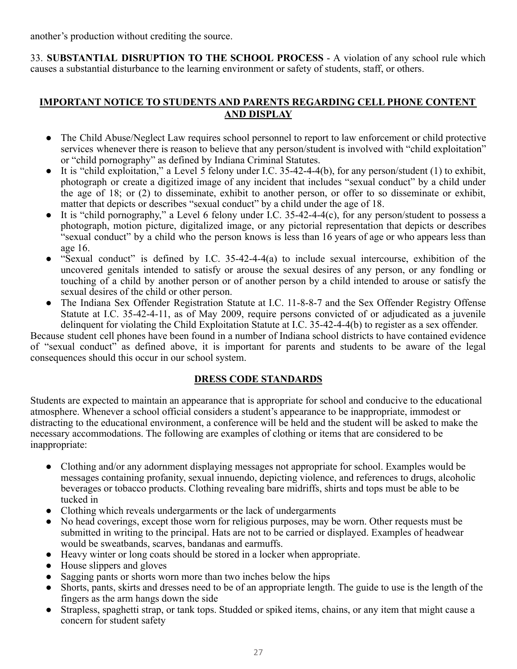another's production without crediting the source.

33. **SUBSTANTIAL DISRUPTION TO THE SCHOOL PROCESS** - A violation of any school rule which causes a substantial disturbance to the learning environment or safety of students, staff, or others.

# **IMPORTANT NOTICE TO STUDENTS AND PARENTS REGARDING CELL PHONE CONTENT AND DISPLAY**

- The Child Abuse/Neglect Law requires school personnel to report to law enforcement or child protective services whenever there is reason to believe that any person/student is involved with "child exploitation" or "child pornography" as defined by Indiana Criminal Statutes.
- $\bullet$  It is "child exploitation," a Level 5 felony under I.C. 35-42-4-4(b), for any person/student (1) to exhibit, photograph or create a digitized image of any incident that includes "sexual conduct" by a child under the age of 18; or (2) to disseminate, exhibit to another person, or offer to so disseminate or exhibit, matter that depicts or describes "sexual conduct" by a child under the age of 18.
- It is "child pornography," a Level 6 felony under I.C. 35-42-4-4(c), for any person/student to possess a photograph, motion picture, digitalized image, or any pictorial representation that depicts or describes "sexual conduct" by a child who the person knows is less than 16 years of age or who appears less than age 16.
- "Sexual conduct" is defined by I.C. 35-42-4-4(a) to include sexual intercourse, exhibition of the uncovered genitals intended to satisfy or arouse the sexual desires of any person, or any fondling or touching of a child by another person or of another person by a child intended to arouse or satisfy the sexual desires of the child or other person.
- The Indiana Sex Offender Registration Statute at I.C. 11-8-8-7 and the Sex Offender Registry Offense Statute at I.C. 35-42-4-11, as of May 2009, require persons convicted of or adjudicated as a juvenile delinquent for violating the Child Exploitation Statute at I.C. 35-42-4-4(b) to register as a sex offender.

Because student cell phones have been found in a number of Indiana school districts to have contained evidence of "sexual conduct" as defined above, it is important for parents and students to be aware of the legal consequences should this occur in our school system.

# **DRESS CODE STANDARDS**

Students are expected to maintain an appearance that is appropriate for school and conducive to the educational atmosphere. Whenever a school official considers a student's appearance to be inappropriate, immodest or distracting to the educational environment, a conference will be held and the student will be asked to make the necessary accommodations. The following are examples of clothing or items that are considered to be inappropriate:

- Clothing and/or any adornment displaying messages not appropriate for school. Examples would be messages containing profanity, sexual innuendo, depicting violence, and references to drugs, alcoholic beverages or tobacco products. Clothing revealing bare midriffs, shirts and tops must be able to be tucked in
- Clothing which reveals undergarments or the lack of undergarments
- No head coverings, except those worn for religious purposes, may be worn. Other requests must be submitted in writing to the principal. Hats are not to be carried or displayed. Examples of headwear would be sweatbands, scarves, bandanas and earmuffs.
- Heavy winter or long coats should be stored in a locker when appropriate.
- House slippers and gloves
- Sagging pants or shorts worn more than two inches below the hips
- Shorts, pants, skirts and dresses need to be of an appropriate length. The guide to use is the length of the fingers as the arm hangs down the side
- Strapless, spaghetti strap, or tank tops. Studded or spiked items, chains, or any item that might cause a concern for student safety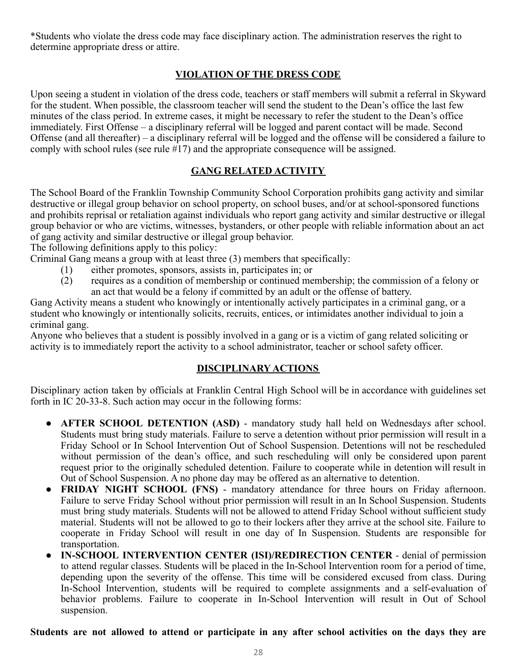\*Students who violate the dress code may face disciplinary action. The administration reserves the right to determine appropriate dress or attire.

# **VIOLATION OF THE DRESS CODE**

Upon seeing a student in violation of the dress code, teachers or staff members will submit a referral in Skyward for the student. When possible, the classroom teacher will send the student to the Dean's office the last few minutes of the class period. In extreme cases, it might be necessary to refer the student to the Dean's office immediately. First Offense – a disciplinary referral will be logged and parent contact will be made. Second Offense (and all thereafter) – a disciplinary referral will be logged and the offense will be considered a failure to comply with school rules (see rule #17) and the appropriate consequence will be assigned.

# **GANG RELATED ACTIVITY**

The School Board of the Franklin Township Community School Corporation prohibits gang activity and similar destructive or illegal group behavior on school property, on school buses, and/or at school-sponsored functions and prohibits reprisal or retaliation against individuals who report gang activity and similar destructive or illegal group behavior or who are victims, witnesses, bystanders, or other people with reliable information about an act of gang activity and similar destructive or illegal group behavior.

The following definitions apply to this policy:

Criminal Gang means a group with at least three (3) members that specifically:

- (1) either promotes, sponsors, assists in, participates in; or requires as a condition of membership or continued me
- requires as a condition of membership or continued membership; the commission of a felony or an act that would be a felony if committed by an adult or the offense of battery.

Gang Activity means a student who knowingly or intentionally actively participates in a criminal gang, or a student who knowingly or intentionally solicits, recruits, entices, or intimidates another individual to join a criminal gang.

Anyone who believes that a student is possibly involved in a gang or is a victim of gang related soliciting or activity is to immediately report the activity to a school administrator, teacher or school safety officer.

# **DISCIPLINARY ACTIONS**

Disciplinary action taken by officials at Franklin Central High School will be in accordance with guidelines set forth in IC 20-33-8. Such action may occur in the following forms:

- **AFTER SCHOOL DETENTION (ASD)** mandatory study hall held on Wednesdays after school. Students must bring study materials. Failure to serve a detention without prior permission will result in a Friday School or In School Intervention Out of School Suspension. Detentions will not be rescheduled without permission of the dean's office, and such rescheduling will only be considered upon parent request prior to the originally scheduled detention. Failure to cooperate while in detention will result in Out of School Suspension. A no phone day may be offered as an alternative to detention.
- **FRIDAY NIGHT SCHOOL (FNS)** mandatory attendance for three hours on Friday afternoon. Failure to serve Friday School without prior permission will result in an In School Suspension. Students must bring study materials. Students will not be allowed to attend Friday School without sufficient study material. Students will not be allowed to go to their lockers after they arrive at the school site. Failure to cooperate in Friday School will result in one day of In Suspension. Students are responsible for transportation.
- **IN-SCHOOL INTERVENTION CENTER (ISI)/REDIRECTION CENTER** denial of permission to attend regular classes. Students will be placed in the In-School Intervention room for a period of time, depending upon the severity of the offense. This time will be considered excused from class. During In-School Intervention, students will be required to complete assignments and a self-evaluation of behavior problems. Failure to cooperate in In-School Intervention will result in Out of School suspension.

Students are not allowed to attend or participate in any after school activities on the days they are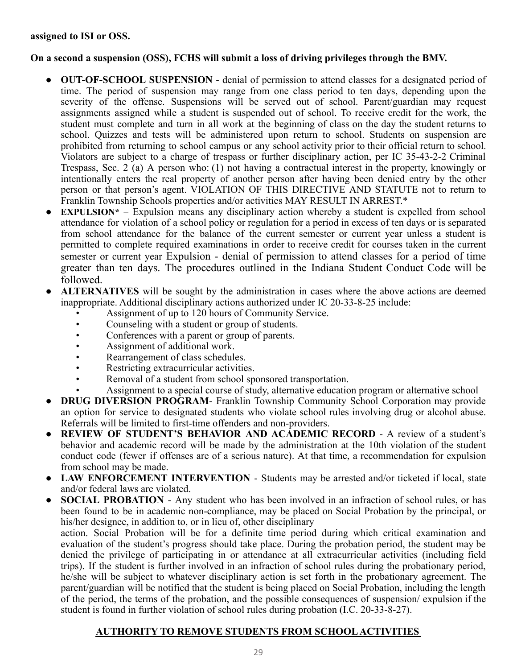#### **assigned to ISI or OSS.**

# **On a second a suspension (OSS), FCHS will submit a loss of driving privileges through the BMV.**

- **OUT-OF-SCHOOL SUSPENSION** denial of permission to attend classes for a designated period of time. The period of suspension may range from one class period to ten days, depending upon the severity of the offense. Suspensions will be served out of school. Parent/guardian may request assignments assigned while a student is suspended out of school. To receive credit for the work, the student must complete and turn in all work at the beginning of class on the day the student returns to school. Quizzes and tests will be administered upon return to school. Students on suspension are prohibited from returning to school campus or any school activity prior to their official return to school. Violators are subject to a charge of trespass or further disciplinary action, per IC 35-43-2-2 Criminal Trespass, Sec. 2 (a) A person who: (1) not having a contractual interest in the property, knowingly or intentionally enters the real property of another person after having been denied entry by the other person or that person's agent. VIOLATION OF THIS DIRECTIVE AND STATUTE not to return to Franklin Township Schools properties and/or activities MAY RESULT IN ARREST.\*
- **EXPULSION\*** Expulsion means any disciplinary action whereby a student is expelled from school attendance for violation of a school policy or regulation for a period in excess of ten days or is separated from school attendance for the balance of the current semester or current year unless a student is permitted to complete required examinations in order to receive credit for courses taken in the current semester or current year Expulsion - denial of permission to attend classes for a period of time greater than ten days. The procedures outlined in the Indiana Student Conduct Code will be followed.
- **ALTERNATIVES** will be sought by the administration in cases where the above actions are deemed inappropriate. Additional disciplinary actions authorized under IC 20-33-8-25 include:
	- Assignment of up to 120 hours of Community Service.
	- Counseling with a student or group of students.
	- Conferences with a parent or group of parents.
	- Assignment of additional work.
	- Rearrangement of class schedules.
	- Restricting extracurricular activities.
	- Removal of a student from school sponsored transportation.
	- Assignment to a special course of study, alternative education program or alternative school
- **DRUG DIVERSION PROGRAM** Franklin Township Community School Corporation may provide an option for service to designated students who violate school rules involving drug or alcohol abuse. Referrals will be limited to first-time offenders and non-providers.
- **REVIEW OF STUDENT'S BEHAVIOR AND ACADEMIC RECORD** A review of a student's behavior and academic record will be made by the administration at the 10th violation of the student conduct code (fewer if offenses are of a serious nature). At that time, a recommendation for expulsion from school may be made.
- **LAW ENFORCEMENT INTERVENTION** Students may be arrested and/or ticketed if local, state and/or federal laws are violated.
- **SOCIAL PROBATION** Any student who has been involved in an infraction of school rules, or has been found to be in academic non-compliance, may be placed on Social Probation by the principal, or his/her designee, in addition to, or in lieu of, other disciplinary

action. Social Probation will be for a definite time period during which critical examination and evaluation of the student's progress should take place. During the probation period, the student may be denied the privilege of participating in or attendance at all extracurricular activities (including field trips). If the student is further involved in an infraction of school rules during the probationary period, he/she will be subject to whatever disciplinary action is set forth in the probationary agreement. The parent/guardian will be notified that the student is being placed on Social Probation, including the length of the period, the terms of the probation, and the possible consequences of suspension/ expulsion if the student is found in further violation of school rules during probation (I.C. 20-33-8-27).

# **AUTHORITY TO REMOVE STUDENTS FROM SCHOOL ACTIVITIES**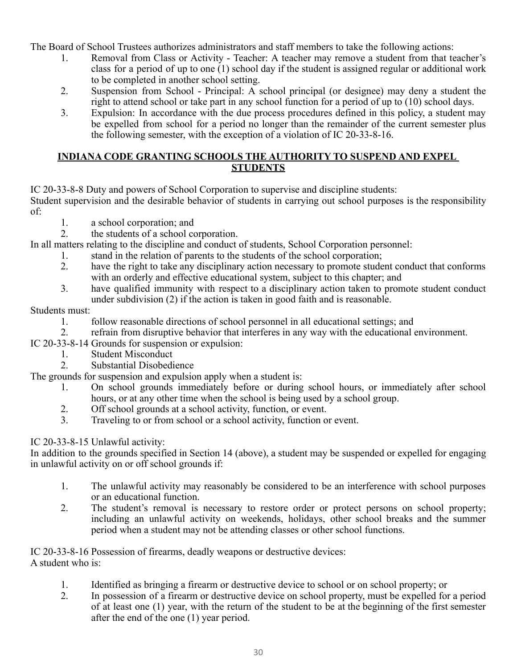The Board of School Trustees authorizes administrators and staff members to take the following actions:

- 1. Removal from Class or Activity Teacher: A teacher may remove a student from that teacher's class for a period of up to one (1) school day if the student is assigned regular or additional work to be completed in another school setting.
- 2. Suspension from School Principal: A school principal (or designee) may deny a student the right to attend school or take part in any school function for a period of up to (10) school days.
- 3. Expulsion: In accordance with the due process procedures defined in this policy, a student may be expelled from school for a period no longer than the remainder of the current semester plus the following semester, with the exception of a violation of IC 20-33-8-16.

# **INDIANA CODE GRANTING SCHOOLS THE AUTHORITY TO SUSPEND AND EXPEL STUDENTS**

IC 20-33-8-8 Duty and powers of School Corporation to supervise and discipline students:

Student supervision and the desirable behavior of students in carrying out school purposes is the responsibility of:

- 1. a school corporation; and
- 2. the students of a school corporation.

In all matters relating to the discipline and conduct of students, School Corporation personnel:

- 1. stand in the relation of parents to the students of the school corporation;
- 2. have the right to take any disciplinary action necessary to promote student conduct that conforms with an orderly and effective educational system, subject to this chapter; and
- 3. have qualified immunity with respect to a disciplinary action taken to promote student conduct under subdivision (2) if the action is taken in good faith and is reasonable.

# Students must:

- 1. follow reasonable directions of school personnel in all educational settings; and
- 2. refrain from disruptive behavior that interferes in any way with the educational environment.
- IC 20-33-8-14 Grounds for suspension or expulsion:
	- 1. Student Misconduct
	- 2. Substantial Disobedience

The grounds for suspension and expulsion apply when a student is:

- 1. On school grounds immediately before or during school hours, or immediately after school hours, or at any other time when the school is being used by a school group.
- 2. Off school grounds at a school activity, function, or event.
- 3. Traveling to or from school or a school activity, function or event.

# IC 20-33-8-15 Unlawful activity:

In addition to the grounds specified in Section 14 (above), a student may be suspended or expelled for engaging in unlawful activity on or off school grounds if:

- 1. The unlawful activity may reasonably be considered to be an interference with school purposes or an educational function.
- 2. The student's removal is necessary to restore order or protect persons on school property; including an unlawful activity on weekends, holidays, other school breaks and the summer period when a student may not be attending classes or other school functions.

IC 20-33-8-16 Possession of firearms, deadly weapons or destructive devices: A student who is:

- 1. Identified as bringing a firearm or destructive device to school or on school property; or
- 2. In possession of a firearm or destructive device on school property, must be expelled for a period of at least one (1) year, with the return of the student to be at the beginning of the first semester after the end of the one (1) year period.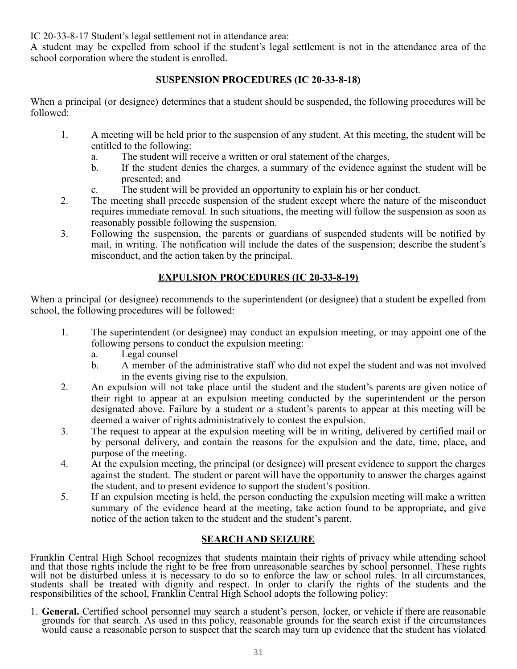IC 20-33-8-17 Student's legal settlement not in attendance area:

A student may be expelled from school if the student's legal settlement is not in the attendance area of the school corporation where the student is enrolled.

# **SUSPENSION PROCEDURES (IC 20-33-8-18)**

When a principal (or designee) determines that a student should be suspended, the following procedures will be followed:

- 1. A meeting will be held prior to the suspension of any student. At this meeting, the student will be entitled to the following:
	- a. The student will receive a written or oral statement of the charges,
	- b. If the student denies the charges, a summary of the evidence against the student will be presented; and
	- c. The student will be provided an opportunity to explain his or her conduct.
- 2. The meeting shall precede suspension of the student except where the nature of the misconduct requires immediate removal. In such situations, the meeting will follow the suspension as soon as reasonably possible following the suspension.
- 3. Following the suspension, the parents or guardians of suspended students will be notified by mail, in writing. The notification will include the dates of the suspension; describe the student's misconduct, and the action taken by the principal.

# **EXPULSION PROCEDURES (IC 20-33-8-19)**

When a principal (or designee) recommends to the superintendent (or designee) that a student be expelled from school, the following procedures will be followed:

- 1. The superintendent (or designee) may conduct an expulsion meeting, or may appoint one of the following persons to conduct the expulsion meeting:
	- a. Legal counsel
	- b. A member of the administrative staff who did not expel the student and was not involved in the events giving rise to the expulsion.
- 2. An expulsion will not take place until the student and the student's parents are given notice of their right to appear at an expulsion meeting conducted by the superintendent or the person designated above. Failure by a student or a student's parents to appear at this meeting will be deemed a waiver of rights administratively to contest the expulsion.
- 3. The request to appear at the expulsion meeting will be in writing, delivered by certified mail or by personal delivery, and contain the reasons for the expulsion and the date, time, place, and purpose of the meeting.
- 4. At the expulsion meeting, the principal (or designee) will present evidence to support the charges against the student. The student or parent will have the opportunity to answer the charges against the student, and to present evidence to support the student's position.
- 5. If an expulsion meeting is held, the person conducting the expulsion meeting will make a written summary of the evidence heard at the meeting, take action found to be appropriate, and give notice of the action taken to the student and the student's parent.

# **SEARCH AND SEIZURE**

Franklin Central High School recognizes that students maintain their rights of privacy while attending school and that those rights include the right to be free from unreasonable searches by school personnel. These rights will not be disturbed unless it is necessary to do so to enforce the law or school rules. In all circumstances, students shall be treated with dignity and respect. In order to clarify the rights of the students and the responsibilities of the school, Franklin Central High School adopts the following policy:

1. **General.** Certified school personnel may search a student's person, locker, or vehicle if there are reasonable grounds for that search. As used in this policy, reasonable grounds for the search exist if the circumstances would cause a reasonable person to suspect that the search may turn up evidence that the student has violated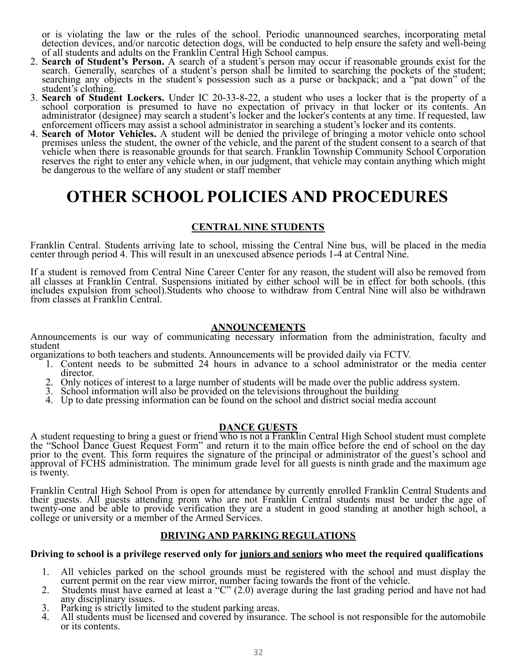or is violating the law or the rules of the school. Periodic unannounced searches, incorporating metal detection devices, and/or narcotic detection dogs, will be conducted to help ensure the safety and well-being of all students and adults on the Franklin Central High School campus.

- 2. **Search of Student's Person.** A search of a student's person may occur if reasonable grounds exist for the search. Generally, searches of a student's person shall be limited to searching the pockets of the student; searching any objects in the student's possession such as a purse or backpack; and a "pat down" of the student's clothing.
- 3. **Search of Student Lockers.** Under IC 20-33-8-22, a student who uses a locker that is the property of a school corporation is presumed to have no expectation of privacy in that locker or its contents. An administrator (designee) may search a student's locker and the locker's contents at any time. If requested, law enforcement officers may assist a school administrator in searching a student's locker and its contents.
- 4. **Search of Motor Vehicles.** A student will be denied the privilege of bringing a motor vehicle onto school premises unless the student, the owner of the vehicle, and the parent of the student consent to a search of that vehicle when there is reasonable grounds for that search. Franklin Township Community School Corporation reserves the right to enter any vehicle when, in our judgment, that vehicle may contain anything which might be dangerous to the welfare of any student or staff member

# **OTHER SCHOOL POLICIES AND PROCEDURES**

# **CENTRAL NINE STUDENTS**

Franklin Central. Students arriving late to school, missing the Central Nine bus, will be placed in the media center through period 4. This will result in an unexcused absence periods 1-4 at Central Nine.

If a student is removed from Central Nine Career Center for any reason, the student will also be removed from all classes at Franklin Central. Suspensions initiated by either school will be in effect for both schools. (this includes expulsion from school).Students who choose to withdraw from Central Nine will also be withdrawn from classes at Franklin Central.

#### **ANNOUNCEMENTS**

Announcements is our way of communicating necessary information from the administration, faculty and student

organizations to both teachers and students. Announcements will be provided daily via FCTV.

- 1. Content needs to be submitted 24 hours in advance to a school administrator or the media center director.
- 2. Only notices of interest to a large number of students will be made over the public address system.
- 3. School information will also be provided on the televisions throughout the building
- 4. Up to date pressing information can be found on the school and district social media account

#### **DANCE GUESTS**

A student requesting to bring a guest or friend who is not a Franklin Central High School student must complete the "School Dance Guest Request Form" and return it to the main office before the end of school on the day prior to the event. This form requires the signature of the principal or administrator of the guest's school and approval of FCHS administration. The minimum grade level for all guests is ninth grade and the maximum age is twenty.

Franklin Central High School Prom is open for attendance by currently enrolled Franklin Central Students and their guests. All guests attending prom who are not Franklin Central students must be under the age of twenty-one and be able to provide verification they are a student in good standing at another high school, a college or university or a member of the Armed Services.

#### **DRIVING AND PARKING REGULATIONS**

#### **Driving to school is a privilege reserved only for juniors and seniors who meet the required qualifications**

- 1. All vehicles parked on the school grounds must be registered with the school and must display the current permit on the rear view mirror, number facing towards the front of the vehicle.
- 2. Students must have earned at least a "C" (2.0) average during the last grading period and have not had any disciplinary issues.
- 3. Parking is strictly limited to the student parking areas.<br>4. All students must be licensed and covered by insurance
- All students must be licensed and covered by insurance. The school is not responsible for the automobile or its contents.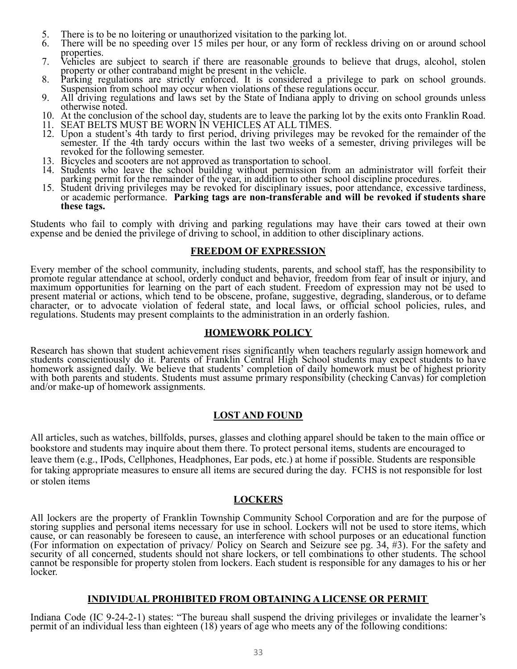- 5. There is to be no loitering or unauthorized visitation to the parking lot.<br>6. There will be no speeding over 15 miles per hour, or any form of rec
- There will be no speeding over 15 miles per hour, or any form of reckless driving on or around school properties.
- 7. Vehicles are subject to search if there are reasonable grounds to believe that drugs, alcohol, stolen property or other contraband might be present in the vehicle.
- 8. Parking regulations are strictly enforced. It is considered a privilege to park on school grounds. Suspension from school may occur when violations of these regulations occur.
- 9. All driving regulations and laws set by the State of Indiana apply to driving on school grounds unless otherwise noted.
- 10. At the conclusion of the school day, students are to leave the parking lot by the exits onto Franklin Road.
- 11. SEAT BELTS MUST BE WORN IN VEHICLES AT ALL TIMES.
- 12. Upon a student's 4th tardy to first period, driving privileges may be revoked for the remainder of the semester. If the 4th tardy occurs within the last two weeks of a semester, driving privileges will be revoked for the following semester.
- 13. Bicycles and scooters are not approved as transportation to school.
- 14. Students who leave the school building without permission from an administrator will forfeit their parking permit for the remainder of the year, in addition to other school discipline procedures.
- 15. Student driving privileges may be revoked for disciplinary issues, poor attendance, excessive tardiness, or academic performance. **Parking tags are non-transferable and will be revoked if students share these tags.**

Students who fail to comply with driving and parking regulations may have their cars towed at their own expense and be denied the privilege of driving to school, in addition to other disciplinary actions.

#### **FREEDOM OF EXPRESSION**

Every member of the school community, including students, parents, and school staff, has the responsibility to promote regular attendance at school, orderly conduct and behavior, freedom from fear of insult or injury, and maximum opportunities for learning on the part of each student. Freedom of expression may not be used to present material or actions, which tend to be obscene, profane, suggestive, degrading, slanderous, or to defame character, or to advocate violation of federal state, and local laws, or official school policies, rules, and regulations. Students may present complaints to the administration in an orderly fashion.

#### **HOMEWORK POLICY**

Research has shown that student achievement rises significantly when teachers regularly assign homework and students conscientiously do it. Parents of Franklin Central High School students may expect students to have homework assigned daily. We believe that students' completion of daily homework must be of highest priority with both parents and students. Students must assume primary responsibility (checking Canvas) for completion and/or make-up of homework assignments.

#### **LOST AND FOUND**

All articles, such as watches, billfolds, purses, glasses and clothing apparel should be taken to the main office or bookstore and students may inquire about them there. To protect personal items, students are encouraged to leave them (e.g., IPods, Cellphones, Headphones, Ear pods, etc.) at home if possible. Students are responsible for taking appropriate measures to ensure all items are secured during the day. FCHS is not responsible for lost or stolen items

#### **LOCKERS**

All lockers are the property of Franklin Township Community School Corporation and are for the purpose of storing supplies and personal items necessary for use in school. Lockers will not be used to store items, which cause, or can reasonably be foreseen to cause, an interference with school purposes or an educational function (For information on expectation of privacy/ Policy on Search and Seizure see pg. 34, #3). For the safety and security of all concerned, students should not share lockers, or tell combinations to other students. The school cannot be responsible for property stolen from lockers. Each student is responsible for any damages to his or her locker.

#### **INDIVIDUAL PROHIBITED FROM OBTAINING A LICENSE OR PERMIT**

Indiana Code (IC 9-24-2-1) states: "The bureau shall suspend the driving privileges or invalidate the learner's permit of an individual less than eighteen (18) years of age who meets any of the following conditions: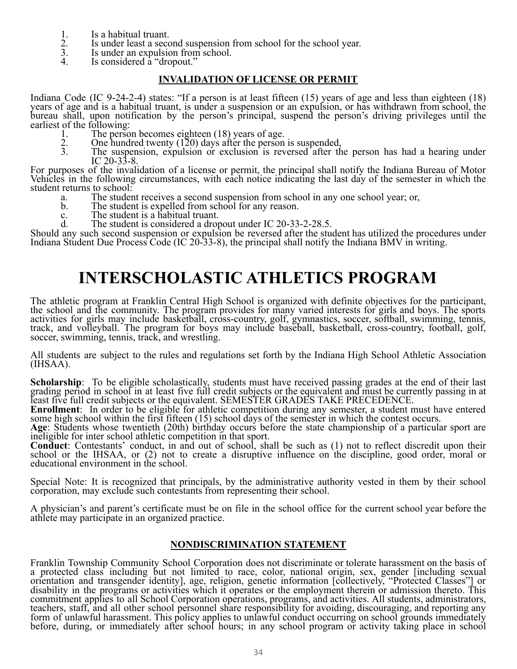- 
- 1. Is a habitual truant.<br>
2. Is under least a second<br>
3. Is under an expulsion Is under least a second suspension from school for the school year.
- Is under an expulsion from school.
- Is considered a "dropout."

#### **INVALIDATION OF LICENSE OR PERMIT**

Indiana Code (IC 9-24-2-4) states: "If a person is at least fifteen (15) years of age and less than eighteen (18) years of age and is a habitual truant, is under a suspension or an expulsion, or has withdrawn from school, the bureau shall, upon notification by the person's principal, suspend the person's driving privileges until the earliest of the following:<br>1. The perso

- 1. The person becomes eighteen (18) years of age.
- 2. One hundred twenty (120) days after the person is suspended,
- 3. The suspension, expulsion or exclusion is reversed after the person has had a hearing under IC 20-33-8.

For purposes of the invalidation of a license or permit, the principal shall notify the Indiana Bureau of Motor Vehicles in the following circumstances, with each notice indicating the last day of the semester in which the student returns to school:

- a. The student receives a second suspension from school in any one school year; or,
- The student is expelled from school for any reason.
- c. The student is a habitual truant.<br>d. The student is considered a drot
- The student is considered a dropout under IC 20-33-2-28.5.

Should any such second suspension or expulsion be reversed after the student has utilized the procedures under Indiana Student Due Process Code (IC 20-33-8), the principal shall notify the Indiana BMV in writing.

# **INTERSCHOLASTIC ATHLETICS PROGRAM**

The athletic program at Franklin Central High School is organized with definite objectives for the participant, the school and the community. The program provides for many varied interests for girls and boys. The sports activities for girls may include basketball, cross-country, golf, gymnastics, soccer, softball, swimming, tennis, track, and volleyball. The program for boys may include baseball, basketball, cross-country, football, golf, soccer, swimming, tennis, track, and wrestling.

All students are subject to the rules and regulations set forth by the Indiana High School Athletic Association (IHSAA).

**Scholarship**: To be eligible scholastically, students must have received passing grades at the end of their last grading period in school in at least five full credit subjects or the equivalent and must be currently passing in at least five full credit subjects or the equivalent. SEMESTER GRADES TAKE PRECEDENCE.

**Enrollment**: In order to be eligible for athletic competition during any semester, a student must have entered some high school within the first fifteen (15) school days of the semester in which the contest occurs.

**Age**: Students whose twentieth (20th) birthday occurs before the state championship of a particular sport are ineligible for inter school athletic competition in that sport.

**Conduct**: Contestants' conduct, in and out of school, shall be such as (1) not to reflect discredit upon their school or the IHSAA, or (2) not to create a disruptive influence on the discipline, good order, moral or educational environment in the school.

Special Note: It is recognized that principals, by the administrative authority vested in them by their school corporation, may exclude such contestants from representing their school.

A physician's and parent's certificate must be on file in the school office for the current school year before the athlete may participate in an organized practice.

#### **NONDISCRIMINATION STATEMENT**

Franklin Township Community School Corporation does not discriminate or tolerate harassment on the basis of a protected class including but not limited to race, color, national origin, sex, gender [including sexual orientation and transgender identity], age, religion, genetic information [collectively, "Protected Classes"] or disability in the programs or activities which it operates or the employment therein or admission thereto. This commitment applies to all School Corporation operations, programs, and activities. All students, administrators, teachers, staff, and all other school personnel share responsibility for avoiding, discouraging, and reporting any form of unlawful harassment. This policy applies to unlawful conduct occurring on school grounds immediately before, during, or immediately after school hours; in any school program or activity taking place in school